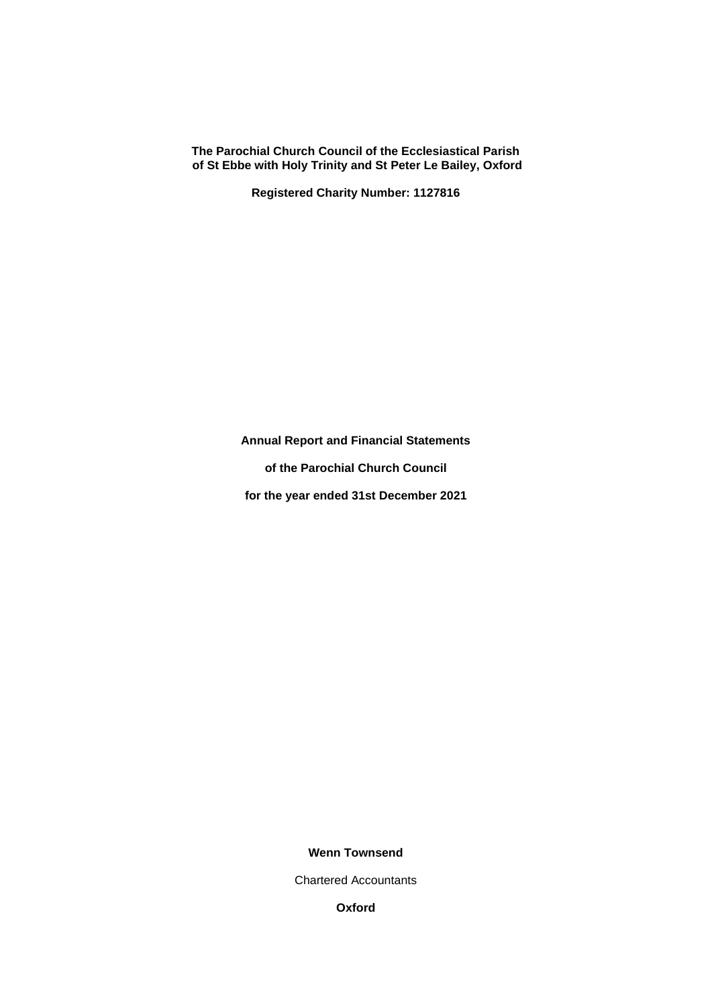**Registered Charity Number: 1127816**

**Annual Report and Financial Statements**

**of the Parochial Church Council**

**for the year ended 31st December 2021**

# **Wenn Townsend**

Chartered Accountants

**Oxford**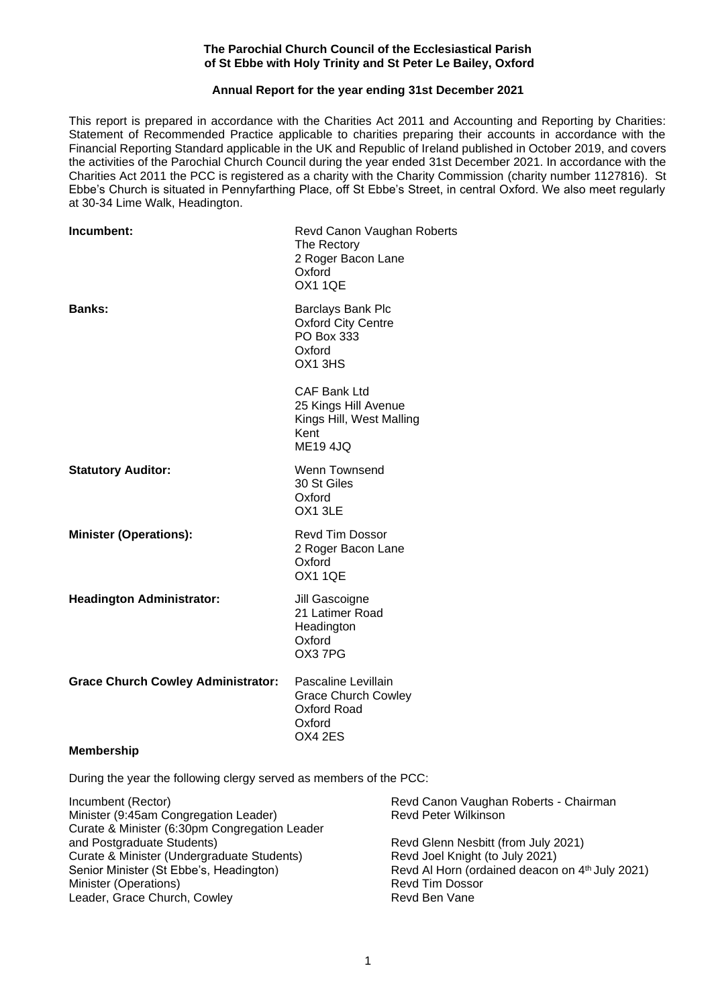# **Annual Report for the year ending 31st December 2021**

This report is prepared in accordance with the Charities Act 2011 and Accounting and Reporting by Charities: Statement of Recommended Practice applicable to charities preparing their accounts in accordance with the Financial Reporting Standard applicable in the UK and Republic of Ireland published in October 2019, and covers the activities of the Parochial Church Council during the year ended 31st December 2021. In accordance with the Charities Act 2011 the PCC is registered as a charity with the Charity Commission (charity number 1127816). St Ebbe's Church is situated in Pennyfarthing Place, off St Ebbe's Street, in central Oxford. We also meet regularly at 30-34 Lime Walk, Headington.

| Incumbent:                                | Revd Canon Vaughan Roberts<br>The Rectory<br>2 Roger Bacon Lane<br>Oxford<br><b>OX1 1QE</b>        |
|-------------------------------------------|----------------------------------------------------------------------------------------------------|
| <b>Banks:</b>                             | Barclays Bank Plc<br><b>Oxford City Centre</b><br>PO Box 333<br>Oxford<br>OX1 3HS                  |
|                                           | <b>CAF Bank Ltd</b><br>25 Kings Hill Avenue<br>Kings Hill, West Malling<br>Kent<br><b>ME19 4JQ</b> |
| <b>Statutory Auditor:</b>                 | Wenn Townsend<br>30 St Giles<br>Oxford<br>OX1 3LE                                                  |
| <b>Minister (Operations):</b>             | <b>Revd Tim Dossor</b><br>2 Roger Bacon Lane<br>Oxford<br><b>OX1 1QE</b>                           |
| <b>Headington Administrator:</b>          | Jill Gascoigne<br>21 Latimer Road<br>Headington<br>Oxford<br>OX37PG                                |
| <b>Grace Church Cowley Administrator:</b> | Pascaline Levillain<br><b>Grace Church Cowley</b><br>Oxford Road<br>Oxford<br>OX4 2ES              |
| <b>Membership</b>                         |                                                                                                    |

During the year the following clergy served as members of the PCC:

| Incumbent (Rector)                            | Revd Canon Vaughan Roberts - Chairman           |
|-----------------------------------------------|-------------------------------------------------|
| Minister (9:45am Congregation Leader)         | <b>Revd Peter Wilkinson</b>                     |
| Curate & Minister (6:30pm Congregation Leader |                                                 |
| and Postgraduate Students)                    | Revd Glenn Nesbitt (from July 2021)             |
| Curate & Minister (Undergraduate Students)    | Revd Joel Knight (to July 2021)                 |
| Senior Minister (St Ebbe's, Headington)       | Revd Al Horn (ordained deacon on 4th July 2021) |
| Minister (Operations)                         | <b>Revd Tim Dossor</b>                          |
| Leader, Grace Church, Cowley                  | Revd Ben Vane                                   |
|                                               |                                                 |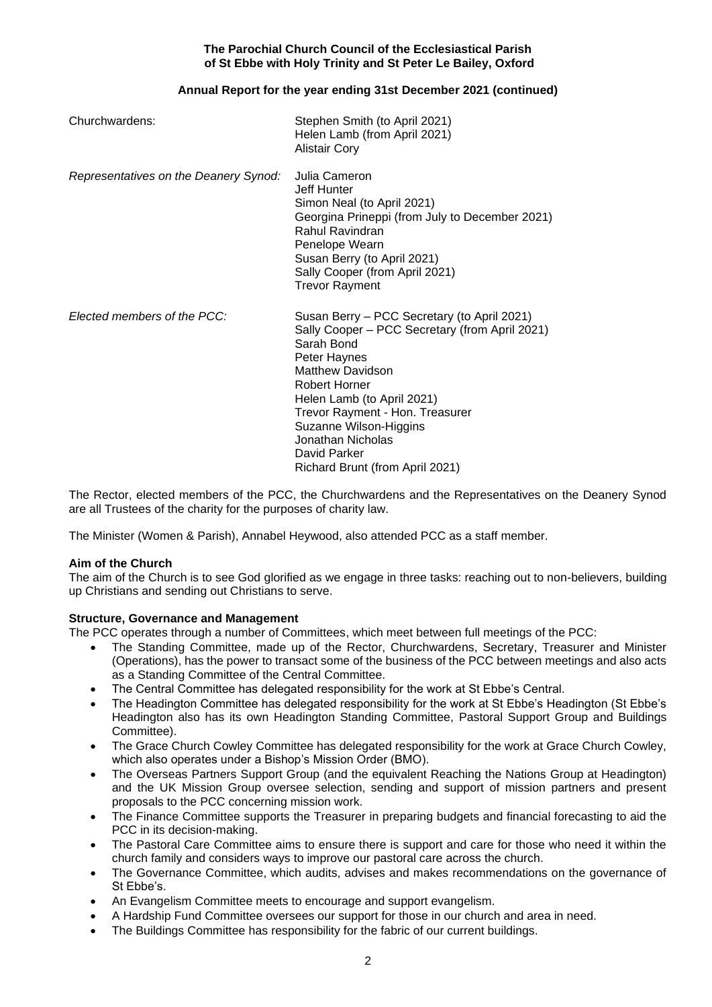# **Annual Report for the year ending 31st December 2021 (continued)**

| Churchwardens:                        | Stephen Smith (to April 2021)<br>Helen Lamb (from April 2021)<br><b>Alistair Cory</b>                                                                                                                                                                                                                                                             |
|---------------------------------------|---------------------------------------------------------------------------------------------------------------------------------------------------------------------------------------------------------------------------------------------------------------------------------------------------------------------------------------------------|
| Representatives on the Deanery Synod: | Julia Cameron<br><b>Jeff Hunter</b><br>Simon Neal (to April 2021)<br>Georgina Prineppi (from July to December 2021)<br>Rahul Ravindran<br>Penelope Wearn<br>Susan Berry (to April 2021)<br>Sally Cooper (from April 2021)<br><b>Trevor Rayment</b>                                                                                                |
| Elected members of the PCC:           | Susan Berry – PCC Secretary (to April 2021)<br>Sally Cooper - PCC Secretary (from April 2021)<br>Sarah Bond<br>Peter Haynes<br><b>Matthew Davidson</b><br><b>Robert Horner</b><br>Helen Lamb (to April 2021)<br>Trevor Rayment - Hon. Treasurer<br>Suzanne Wilson-Higgins<br>Jonathan Nicholas<br>David Parker<br>Richard Brunt (from April 2021) |

The Rector, elected members of the PCC, the Churchwardens and the Representatives on the Deanery Synod are all Trustees of the charity for the purposes of charity law.

The Minister (Women & Parish), Annabel Heywood, also attended PCC as a staff member.

# **Aim of the Church**

The aim of the Church is to see God glorified as we engage in three tasks: reaching out to non-believers, building up Christians and sending out Christians to serve.

# **Structure, Governance and Management**

The PCC operates through a number of Committees, which meet between full meetings of the PCC:

- The Standing Committee, made up of the Rector, Churchwardens, Secretary, Treasurer and Minister (Operations), has the power to transact some of the business of the PCC between meetings and also acts as a Standing Committee of the Central Committee.
- The Central Committee has delegated responsibility for the work at St Ebbe's Central.
- The Headington Committee has delegated responsibility for the work at St Ebbe's Headington (St Ebbe's Headington also has its own Headington Standing Committee, Pastoral Support Group and Buildings Committee).
- The Grace Church Cowley Committee has delegated responsibility for the work at Grace Church Cowley. which also operates under a Bishop's Mission Order (BMO).
- The Overseas Partners Support Group (and the equivalent Reaching the Nations Group at Headington) and the UK Mission Group oversee selection, sending and support of mission partners and present proposals to the PCC concerning mission work.
- The Finance Committee supports the Treasurer in preparing budgets and financial forecasting to aid the PCC in its decision-making.
- The Pastoral Care Committee aims to ensure there is support and care for those who need it within the church family and considers ways to improve our pastoral care across the church.
- The Governance Committee, which audits, advises and makes recommendations on the governance of St Ebbe's.
- An Evangelism Committee meets to encourage and support evangelism.
- A Hardship Fund Committee oversees our support for those in our church and area in need.
- The Buildings Committee has responsibility for the fabric of our current buildings.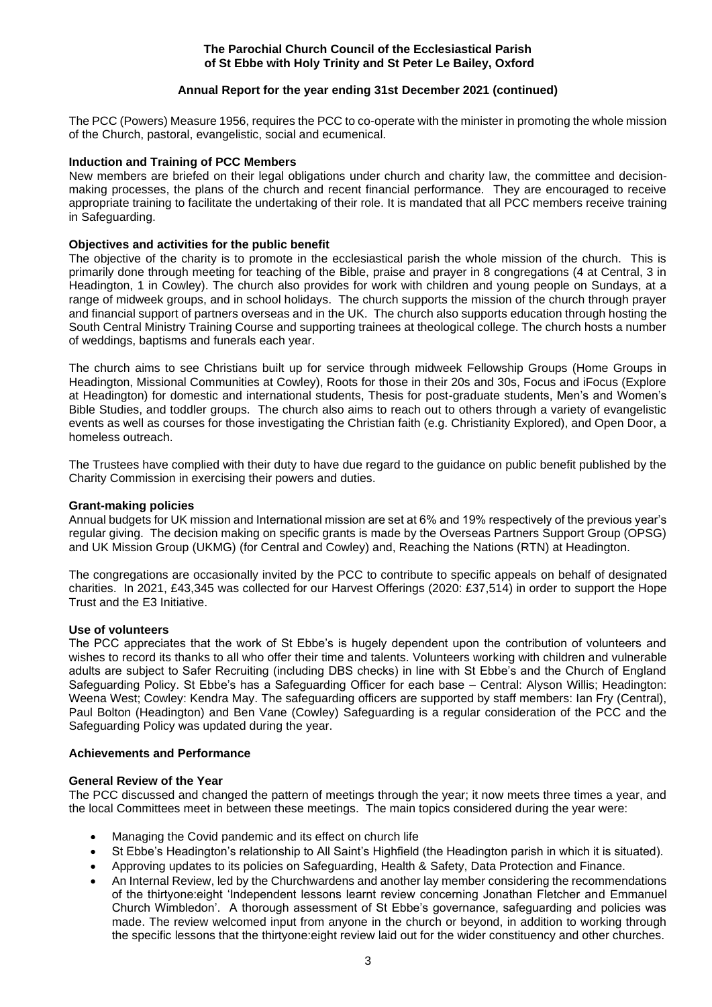# **Annual Report for the year ending 31st December 2021 (continued)**

The PCC (Powers) Measure 1956, requires the PCC to co-operate with the minister in promoting the whole mission of the Church, pastoral, evangelistic, social and ecumenical.

# **Induction and Training of PCC Members**

New members are briefed on their legal obligations under church and charity law, the committee and decisionmaking processes, the plans of the church and recent financial performance. They are encouraged to receive appropriate training to facilitate the undertaking of their role. It is mandated that all PCC members receive training in Safeguarding.

# **Objectives and activities for the public benefit**

The objective of the charity is to promote in the ecclesiastical parish the whole mission of the church. This is primarily done through meeting for teaching of the Bible, praise and prayer in 8 congregations (4 at Central, 3 in Headington, 1 in Cowley). The church also provides for work with children and young people on Sundays, at a range of midweek groups, and in school holidays. The church supports the mission of the church through prayer and financial support of partners overseas and in the UK. The church also supports education through hosting the South Central Ministry Training Course and supporting trainees at theological college. The church hosts a number of weddings, baptisms and funerals each year.

The church aims to see Christians built up for service through midweek Fellowship Groups (Home Groups in Headington, Missional Communities at Cowley), Roots for those in their 20s and 30s, Focus and iFocus (Explore at Headington) for domestic and international students, Thesis for post-graduate students, Men's and Women's Bible Studies, and toddler groups. The church also aims to reach out to others through a variety of evangelistic events as well as courses for those investigating the Christian faith (e.g. Christianity Explored), and Open Door, a homeless outreach.

The Trustees have complied with their duty to have due regard to the guidance on public benefit published by the Charity Commission in exercising their powers and duties.

## **Grant-making policies**

Annual budgets for UK mission and International mission are set at 6% and 19% respectively of the previous year's regular giving. The decision making on specific grants is made by the Overseas Partners Support Group (OPSG) and UK Mission Group (UKMG) (for Central and Cowley) and, Reaching the Nations (RTN) at Headington.

The congregations are occasionally invited by the PCC to contribute to specific appeals on behalf of designated charities. In 2021, £43,345 was collected for our Harvest Offerings (2020: £37,514) in order to support the Hope Trust and the E3 Initiative.

## **Use of volunteers**

The PCC appreciates that the work of St Ebbe's is hugely dependent upon the contribution of volunteers and wishes to record its thanks to all who offer their time and talents. Volunteers working with children and vulnerable adults are subject to Safer Recruiting (including DBS checks) in line with St Ebbe's and the Church of England Safeguarding Policy. St Ebbe's has a Safeguarding Officer for each base – Central: Alyson Willis; Headington: Weena West; Cowley: Kendra May. The safeguarding officers are supported by staff members: Ian Fry (Central), Paul Bolton (Headington) and Ben Vane (Cowley) Safeguarding is a regular consideration of the PCC and the Safeguarding Policy was updated during the year.

# **Achievements and Performance**

## **General Review of the Year**

The PCC discussed and changed the pattern of meetings through the year; it now meets three times a year, and the local Committees meet in between these meetings. The main topics considered during the year were:

- Managing the Covid pandemic and its effect on church life
- St Ebbe's Headington's relationship to All Saint's Highfield (the Headington parish in which it is situated).
- Approving updates to its policies on Safeguarding, Health & Safety, Data Protection and Finance.
- An Internal Review, led by the Churchwardens and another lay member considering the recommendations of the thirtyone:eight 'Independent lessons learnt review concerning Jonathan Fletcher and Emmanuel Church Wimbledon'. A thorough assessment of St Ebbe's governance, safeguarding and policies was made. The review welcomed input from anyone in the church or beyond, in addition to working through the specific lessons that the thirtyone:eight review laid out for the wider constituency and other churches.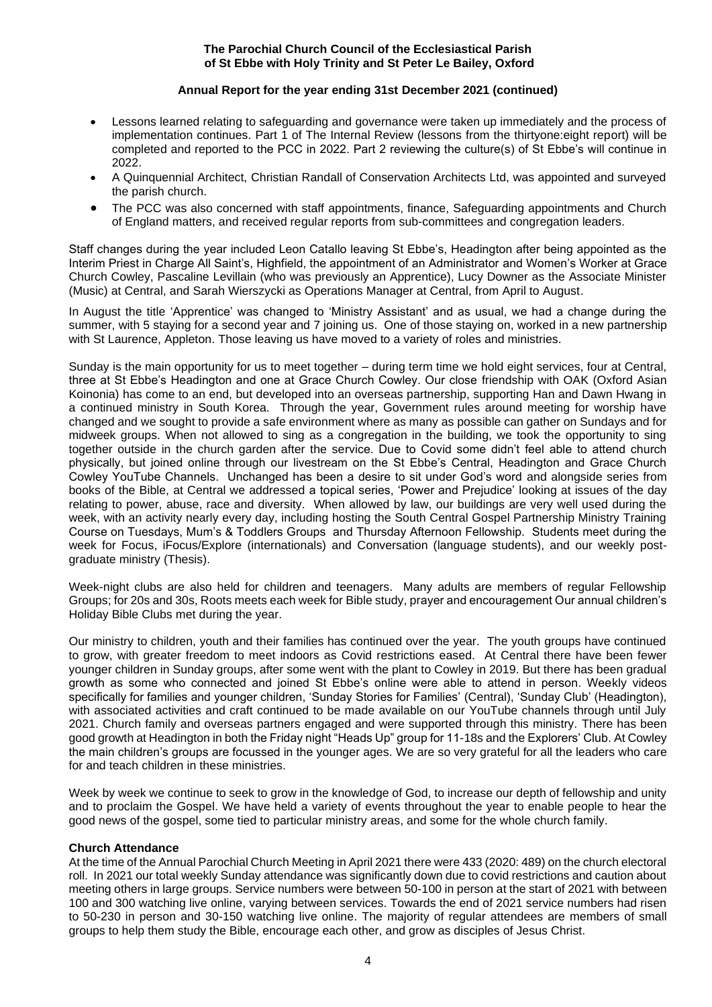# **Annual Report for the year ending 31st December 2021 (continued)**

- Lessons learned relating to safeguarding and governance were taken up immediately and the process of implementation continues. Part 1 of The Internal Review (lessons from the thirtyone:eight report) will be completed and reported to the PCC in 2022. Part 2 reviewing the culture(s) of St Ebbe's will continue in 2022.
- A Quinquennial Architect, Christian Randall of Conservation Architects Ltd, was appointed and surveyed the parish church.
- The PCC was also concerned with staff appointments, finance, Safeguarding appointments and Church of England matters, and received regular reports from sub-committees and congregation leaders.

Staff changes during the year included Leon Catallo leaving St Ebbe's, Headington after being appointed as the Interim Priest in Charge All Saint's, Highfield, the appointment of an Administrator and Women's Worker at Grace Church Cowley, Pascaline Levillain (who was previously an Apprentice), Lucy Downer as the Associate Minister (Music) at Central, and Sarah Wierszycki as Operations Manager at Central, from April to August.

In August the title 'Apprentice' was changed to 'Ministry Assistant' and as usual, we had a change during the summer, with 5 staying for a second year and 7 joining us. One of those staying on, worked in a new partnership with St Laurence, Appleton. Those leaving us have moved to a variety of roles and ministries.

Sunday is the main opportunity for us to meet together – during term time we hold eight services, four at Central, three at St Ebbe's Headington and one at Grace Church Cowley. Our close friendship with OAK (Oxford Asian Koinonia) has come to an end, but developed into an overseas partnership, supporting Han and Dawn Hwang in a continued ministry in South Korea. Through the year, Government rules around meeting for worship have changed and we sought to provide a safe environment where as many as possible can gather on Sundays and for midweek groups. When not allowed to sing as a congregation in the building, we took the opportunity to sing together outside in the church garden after the service. Due to Covid some didn't feel able to attend church physically, but joined online through our livestream on the St Ebbe's Central, Headington and Grace Church Cowley YouTube Channels. Unchanged has been a desire to sit under God's word and alongside series from books of the Bible, at Central we addressed a topical series, 'Power and Prejudice' looking at issues of the day relating to power, abuse, race and diversity. When allowed by law, our buildings are very well used during the week, with an activity nearly every day, including hosting the South Central Gospel Partnership Ministry Training Course on Tuesdays, Mum's & Toddlers Groups and Thursday Afternoon Fellowship. Students meet during the week for Focus, iFocus/Explore (internationals) and Conversation (language students), and our weekly postgraduate ministry (Thesis).

Week-night clubs are also held for children and teenagers. Many adults are members of regular Fellowship Groups; for 20s and 30s, Roots meets each week for Bible study, prayer and encouragement Our annual children's Holiday Bible Clubs met during the year.

Our ministry to children, youth and their families has continued over the year. The youth groups have continued to grow, with greater freedom to meet indoors as Covid restrictions eased. At Central there have been fewer younger children in Sunday groups, after some went with the plant to Cowley in 2019. But there has been gradual growth as some who connected and joined St Ebbe's online were able to attend in person. Weekly videos specifically for families and younger children, 'Sunday Stories for Families' (Central), 'Sunday Club' (Headington), with associated activities and craft continued to be made available on our YouTube channels through until July 2021. Church family and overseas partners engaged and were supported through this ministry. There has been good growth at Headington in both the Friday night "Heads Up" group for 11-18s and the Explorers' Club. At Cowley the main children's groups are focussed in the younger ages. We are so very grateful for all the leaders who care for and teach children in these ministries.

Week by week we continue to seek to grow in the knowledge of God, to increase our depth of fellowship and unity and to proclaim the Gospel. We have held a variety of events throughout the year to enable people to hear the good news of the gospel, some tied to particular ministry areas, and some for the whole church family.

## **Church Attendance**

At the time of the Annual Parochial Church Meeting in April 2021 there were 433 (2020: 489) on the church electoral roll. In 2021 our total weekly Sunday attendance was significantly down due to covid restrictions and caution about meeting others in large groups. Service numbers were between 50-100 in person at the start of 2021 with between 100 and 300 watching live online, varying between services. Towards the end of 2021 service numbers had risen to 50-230 in person and 30-150 watching live online. The majority of regular attendees are members of small groups to help them study the Bible, encourage each other, and grow as disciples of Jesus Christ.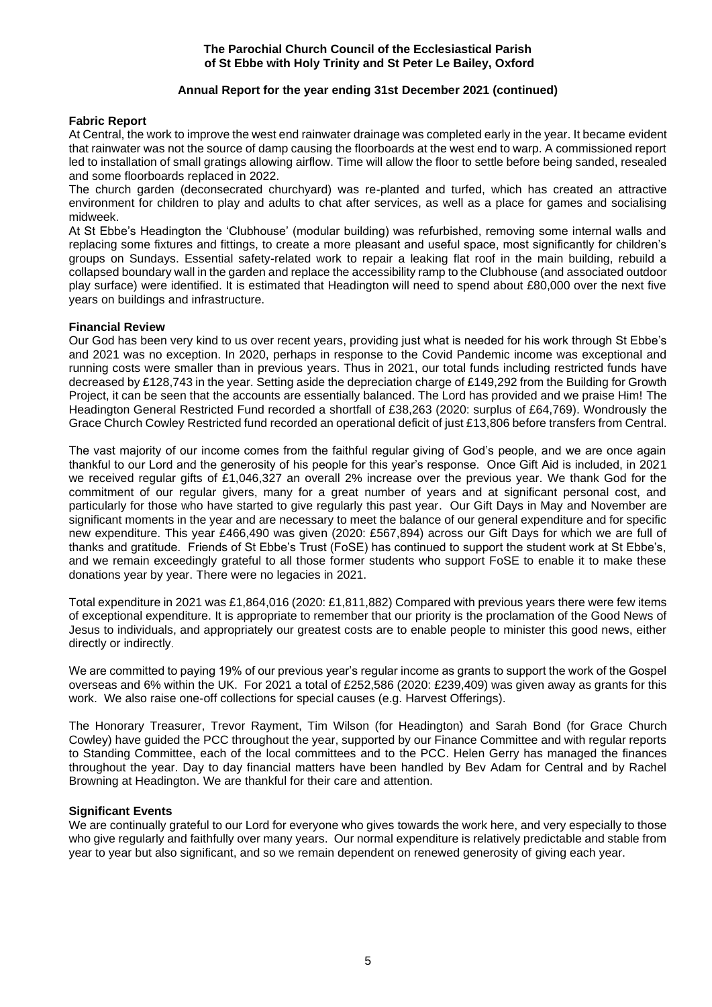# **Annual Report for the year ending 31st December 2021 (continued)**

# **Fabric Report**

At Central, the work to improve the west end rainwater drainage was completed early in the year. It became evident that rainwater was not the source of damp causing the floorboards at the west end to warp. A commissioned report led to installation of small gratings allowing airflow. Time will allow the floor to settle before being sanded, resealed and some floorboards replaced in 2022.

The church garden (deconsecrated churchyard) was re-planted and turfed, which has created an attractive environment for children to play and adults to chat after services, as well as a place for games and socialising midweek.

At St Ebbe's Headington the 'Clubhouse' (modular building) was refurbished, removing some internal walls and replacing some fixtures and fittings, to create a more pleasant and useful space, most significantly for children's groups on Sundays. Essential safety-related work to repair a leaking flat roof in the main building, rebuild a collapsed boundary wall in the garden and replace the accessibility ramp to the Clubhouse (and associated outdoor play surface) were identified. It is estimated that Headington will need to spend about £80,000 over the next five years on buildings and infrastructure.

# **Financial Review**

Our God has been very kind to us over recent years, providing just what is needed for his work through St Ebbe's and 2021 was no exception. In 2020, perhaps in response to the Covid Pandemic income was exceptional and running costs were smaller than in previous years. Thus in 2021, our total funds including restricted funds have decreased by £128,743 in the year. Setting aside the depreciation charge of £149,292 from the Building for Growth Project, it can be seen that the accounts are essentially balanced. The Lord has provided and we praise Him! The Headington General Restricted Fund recorded a shortfall of £38,263 (2020: surplus of £64,769). Wondrously the Grace Church Cowley Restricted fund recorded an operational deficit of just £13,806 before transfers from Central.

The vast majority of our income comes from the faithful regular giving of God's people, and we are once again thankful to our Lord and the generosity of his people for this year's response. Once Gift Aid is included, in 2021 we received regular gifts of £1,046,327 an overall 2% increase over the previous year. We thank God for the commitment of our regular givers, many for a great number of years and at significant personal cost, and particularly for those who have started to give regularly this past year. Our Gift Days in May and November are significant moments in the year and are necessary to meet the balance of our general expenditure and for specific new expenditure. This year £466,490 was given (2020: £567,894) across our Gift Days for which we are full of thanks and gratitude. Friends of St Ebbe's Trust (FoSE) has continued to support the student work at St Ebbe's, and we remain exceedingly grateful to all those former students who support FoSE to enable it to make these donations year by year. There were no legacies in 2021.

Total expenditure in 2021 was £1,864,016 (2020: £1,811,882) Compared with previous years there were few items of exceptional expenditure. It is appropriate to remember that our priority is the proclamation of the Good News of Jesus to individuals, and appropriately our greatest costs are to enable people to minister this good news, either directly or indirectly.

We are committed to paying 19% of our previous year's regular income as grants to support the work of the Gospel overseas and 6% within the UK. For 2021 a total of £252,586 (2020: £239,409) was given away as grants for this work. We also raise one-off collections for special causes (e.g. Harvest Offerings).

The Honorary Treasurer, Trevor Rayment, Tim Wilson (for Headington) and Sarah Bond (for Grace Church Cowley) have guided the PCC throughout the year, supported by our Finance Committee and with regular reports to Standing Committee, each of the local committees and to the PCC. Helen Gerry has managed the finances throughout the year. Day to day financial matters have been handled by Bev Adam for Central and by Rachel Browning at Headington. We are thankful for their care and attention.

## **Significant Events**

We are continually grateful to our Lord for everyone who gives towards the work here, and very especially to those who give regularly and faithfully over many years. Our normal expenditure is relatively predictable and stable from year to year but also significant, and so we remain dependent on renewed generosity of giving each year.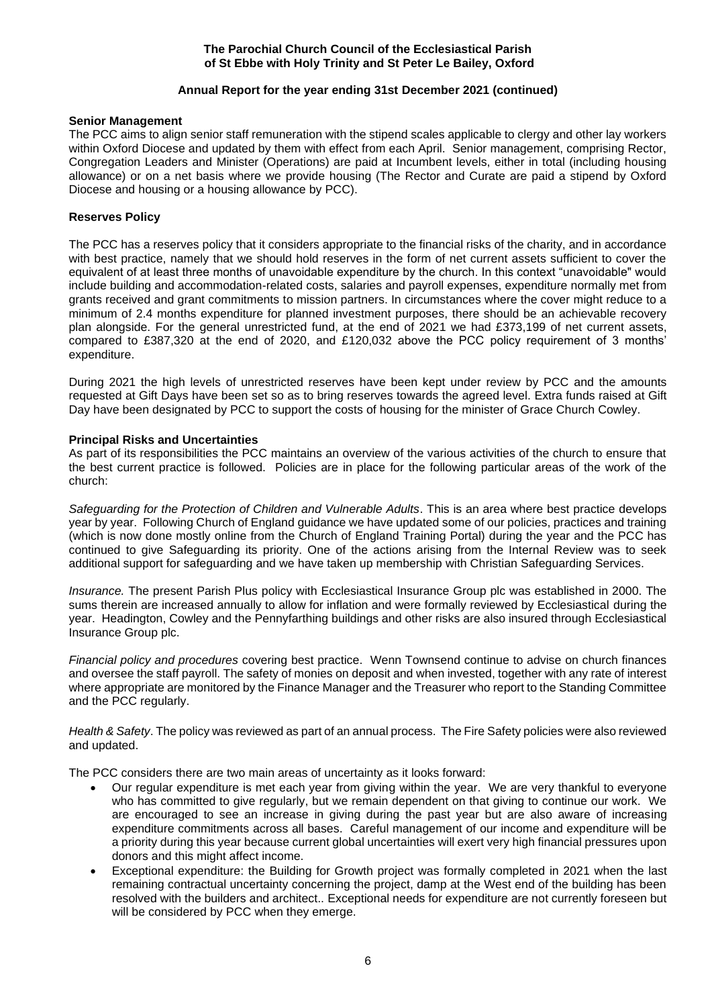# **Annual Report for the year ending 31st December 2021 (continued)**

## **Senior Management**

The PCC aims to align senior staff remuneration with the stipend scales applicable to clergy and other lay workers within Oxford Diocese and updated by them with effect from each April. Senior management, comprising Rector, Congregation Leaders and Minister (Operations) are paid at Incumbent levels, either in total (including housing allowance) or on a net basis where we provide housing (The Rector and Curate are paid a stipend by Oxford Diocese and housing or a housing allowance by PCC).

## **Reserves Policy**

The PCC has a reserves policy that it considers appropriate to the financial risks of the charity, and in accordance with best practice, namely that we should hold reserves in the form of net current assets sufficient to cover the equivalent of at least three months of unavoidable expenditure by the church. In this context "unavoidable" would include building and accommodation-related costs, salaries and payroll expenses, expenditure normally met from grants received and grant commitments to mission partners. In circumstances where the cover might reduce to a minimum of 2.4 months expenditure for planned investment purposes, there should be an achievable recovery plan alongside. For the general unrestricted fund, at the end of 2021 we had £373,199 of net current assets, compared to £387,320 at the end of 2020, and £120,032 above the PCC policy requirement of 3 months' expenditure.

During 2021 the high levels of unrestricted reserves have been kept under review by PCC and the amounts requested at Gift Days have been set so as to bring reserves towards the agreed level. Extra funds raised at Gift Day have been designated by PCC to support the costs of housing for the minister of Grace Church Cowley.

#### **Principal Risks and Uncertainties**

As part of its responsibilities the PCC maintains an overview of the various activities of the church to ensure that the best current practice is followed. Policies are in place for the following particular areas of the work of the church:

*Safeguarding for the Protection of Children and Vulnerable Adults*. This is an area where best practice develops year by year. Following Church of England guidance we have updated some of our policies, practices and training (which is now done mostly online from the Church of England Training Portal) during the year and the PCC has continued to give Safeguarding its priority. One of the actions arising from the Internal Review was to seek additional support for safeguarding and we have taken up membership with Christian Safeguarding Services.

*Insurance.* The present Parish Plus policy with Ecclesiastical Insurance Group plc was established in 2000. The sums therein are increased annually to allow for inflation and were formally reviewed by Ecclesiastical during the year. Headington, Cowley and the Pennyfarthing buildings and other risks are also insured through Ecclesiastical Insurance Group plc.

*Financial policy and procedures* covering best practice. Wenn Townsend continue to advise on church finances and oversee the staff payroll. The safety of monies on deposit and when invested, together with any rate of interest where appropriate are monitored by the Finance Manager and the Treasurer who report to the Standing Committee and the PCC regularly.

*Health & Safety*. The policy was reviewed as part of an annual process. The Fire Safety policies were also reviewed and updated.

The PCC considers there are two main areas of uncertainty as it looks forward:

- Our regular expenditure is met each year from giving within the year. We are very thankful to everyone who has committed to give regularly, but we remain dependent on that giving to continue our work. We are encouraged to see an increase in giving during the past year but are also aware of increasing expenditure commitments across all bases. Careful management of our income and expenditure will be a priority during this year because current global uncertainties will exert very high financial pressures upon donors and this might affect income.
- Exceptional expenditure: the Building for Growth project was formally completed in 2021 when the last remaining contractual uncertainty concerning the project, damp at the West end of the building has been resolved with the builders and architect.. Exceptional needs for expenditure are not currently foreseen but will be considered by PCC when they emerge.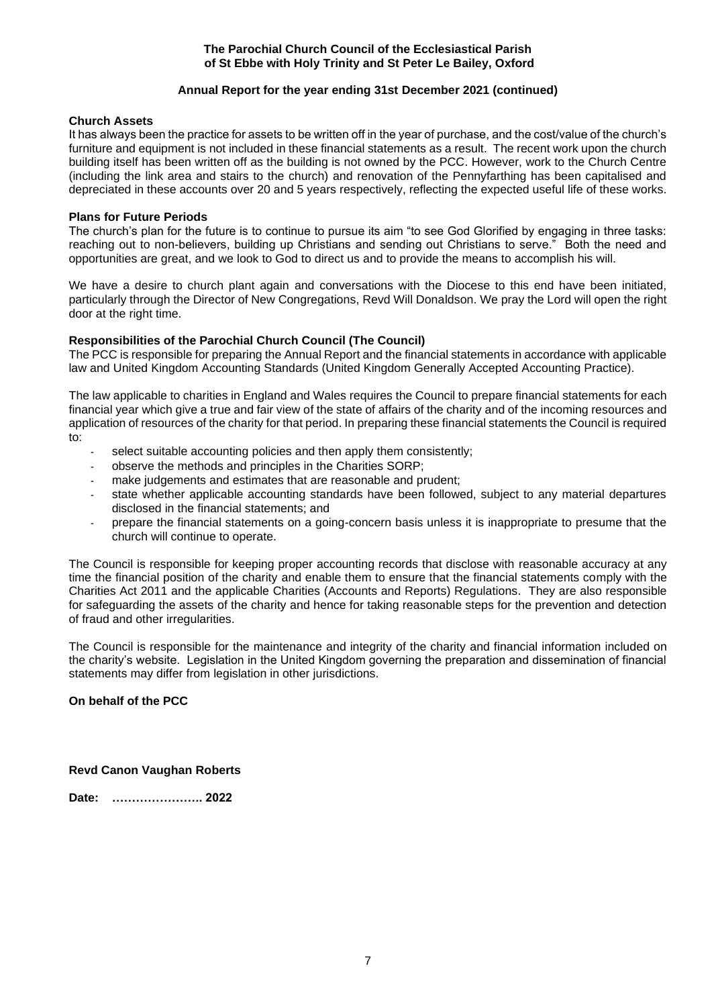# **Annual Report for the year ending 31st December 2021 (continued)**

## **Church Assets**

It has always been the practice for assets to be written off in the year of purchase, and the cost/value of the church's furniture and equipment is not included in these financial statements as a result. The recent work upon the church building itself has been written off as the building is not owned by the PCC. However, work to the Church Centre (including the link area and stairs to the church) and renovation of the Pennyfarthing has been capitalised and depreciated in these accounts over 20 and 5 years respectively, reflecting the expected useful life of these works.

# **Plans for Future Periods**

The church's plan for the future is to continue to pursue its aim "to see God Glorified by engaging in three tasks: reaching out to non-believers, building up Christians and sending out Christians to serve." Both the need and opportunities are great, and we look to God to direct us and to provide the means to accomplish his will.

We have a desire to church plant again and conversations with the Diocese to this end have been initiated, particularly through the Director of New Congregations, Revd Will Donaldson. We pray the Lord will open the right door at the right time.

# **Responsibilities of the Parochial Church Council (The Council)**

The PCC is responsible for preparing the Annual Report and the financial statements in accordance with applicable law and United Kingdom Accounting Standards (United Kingdom Generally Accepted Accounting Practice).

The law applicable to charities in England and Wales requires the Council to prepare financial statements for each financial year which give a true and fair view of the state of affairs of the charity and of the incoming resources and application of resources of the charity for that period. In preparing these financial statements the Council is required to:

- select suitable accounting policies and then apply them consistently;
- observe the methods and principles in the Charities SORP;
- make judgements and estimates that are reasonable and prudent:
- state whether applicable accounting standards have been followed, subject to any material departures disclosed in the financial statements; and
- prepare the financial statements on a going-concern basis unless it is inappropriate to presume that the church will continue to operate.

The Council is responsible for keeping proper accounting records that disclose with reasonable accuracy at any time the financial position of the charity and enable them to ensure that the financial statements comply with the Charities Act 2011 and the applicable Charities (Accounts and Reports) Regulations. They are also responsible for safeguarding the assets of the charity and hence for taking reasonable steps for the prevention and detection of fraud and other irregularities.

The Council is responsible for the maintenance and integrity of the charity and financial information included on the charity's website. Legislation in the United Kingdom governing the preparation and dissemination of financial statements may differ from legislation in other jurisdictions.

# **On behalf of the PCC**

# **Revd Canon Vaughan Roberts**

**Date: ………………….. 2022**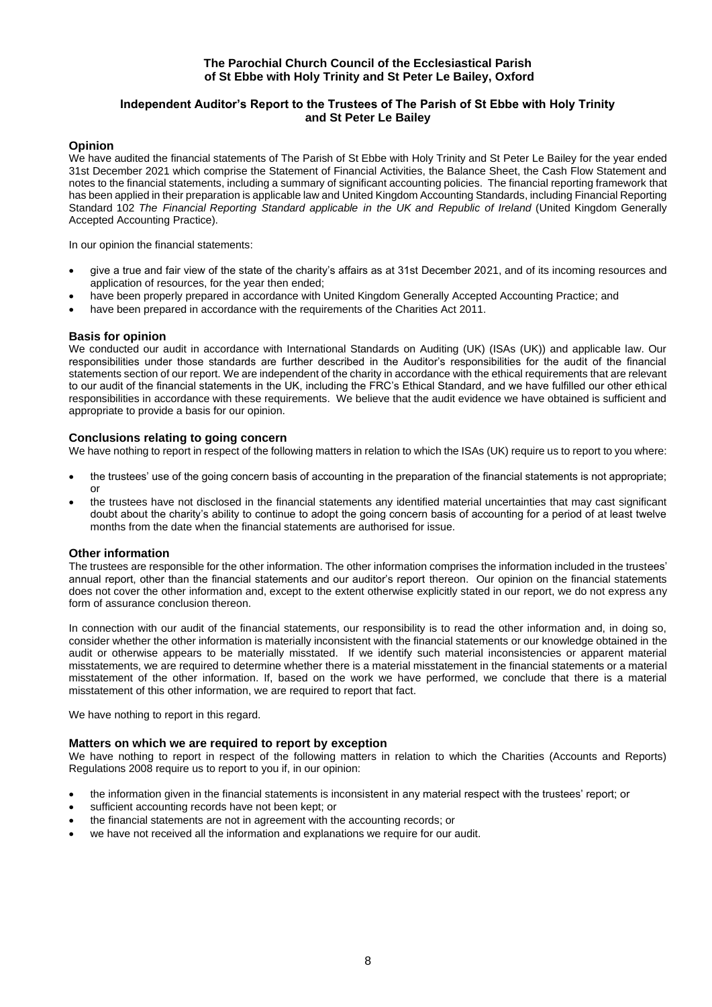# **Independent Auditor's Report to the Trustees of The Parish of St Ebbe with Holy Trinity and St Peter Le Bailey**

## **Opinion**

We have audited the financial statements of The Parish of St Ebbe with Holy Trinity and St Peter Le Bailey for the year ended 31st December 2021 which comprise the Statement of Financial Activities, the Balance Sheet, the Cash Flow Statement and notes to the financial statements, including a summary of significant accounting policies. The financial reporting framework that has been applied in their preparation is applicable law and United Kingdom Accounting Standards, including Financial Reporting Standard 102 *The Financial Reporting Standard applicable in the UK and Republic of Ireland* (United Kingdom Generally Accepted Accounting Practice).

In our opinion the financial statements:

- give a true and fair view of the state of the charity's affairs as at 31st December 2021, and of its incoming resources and application of resources, for the year then ended;
- have been properly prepared in accordance with United Kingdom Generally Accepted Accounting Practice; and
- have been prepared in accordance with the requirements of the Charities Act 2011.

#### **Basis for opinion**

We conducted our audit in accordance with International Standards on Auditing (UK) (ISAs (UK)) and applicable law. Our responsibilities under those standards are further described in the Auditor's responsibilities for the audit of the financial statements section of our report. We are independent of the charity in accordance with the ethical requirements that are relevant to our audit of the financial statements in the UK, including the FRC's Ethical Standard, and we have fulfilled our other ethical responsibilities in accordance with these requirements. We believe that the audit evidence we have obtained is sufficient and appropriate to provide a basis for our opinion.

#### **Conclusions relating to going concern**

We have nothing to report in respect of the following matters in relation to which the ISAs (UK) require us to report to you where:

- the trustees' use of the going concern basis of accounting in the preparation of the financial statements is not appropriate; or
- the trustees have not disclosed in the financial statements any identified material uncertainties that may cast significant doubt about the charity's ability to continue to adopt the going concern basis of accounting for a period of at least twelve months from the date when the financial statements are authorised for issue.

#### **Other information**

The trustees are responsible for the other information. The other information comprises the information included in the trustees' annual report, other than the financial statements and our auditor's report thereon. Our opinion on the financial statements does not cover the other information and, except to the extent otherwise explicitly stated in our report, we do not express any form of assurance conclusion thereon.

In connection with our audit of the financial statements, our responsibility is to read the other information and, in doing so, consider whether the other information is materially inconsistent with the financial statements or our knowledge obtained in the audit or otherwise appears to be materially misstated. If we identify such material inconsistencies or apparent material misstatements, we are required to determine whether there is a material misstatement in the financial statements or a material misstatement of the other information. If, based on the work we have performed, we conclude that there is a material misstatement of this other information, we are required to report that fact.

We have nothing to report in this regard.

## **Matters on which we are required to report by exception**

We have nothing to report in respect of the following matters in relation to which the Charities (Accounts and Reports) Regulations 2008 require us to report to you if, in our opinion:

- the information given in the financial statements is inconsistent in any material respect with the trustees' report; or
- sufficient accounting records have not been kept; or
- the financial statements are not in agreement with the accounting records; or
- we have not received all the information and explanations we require for our audit.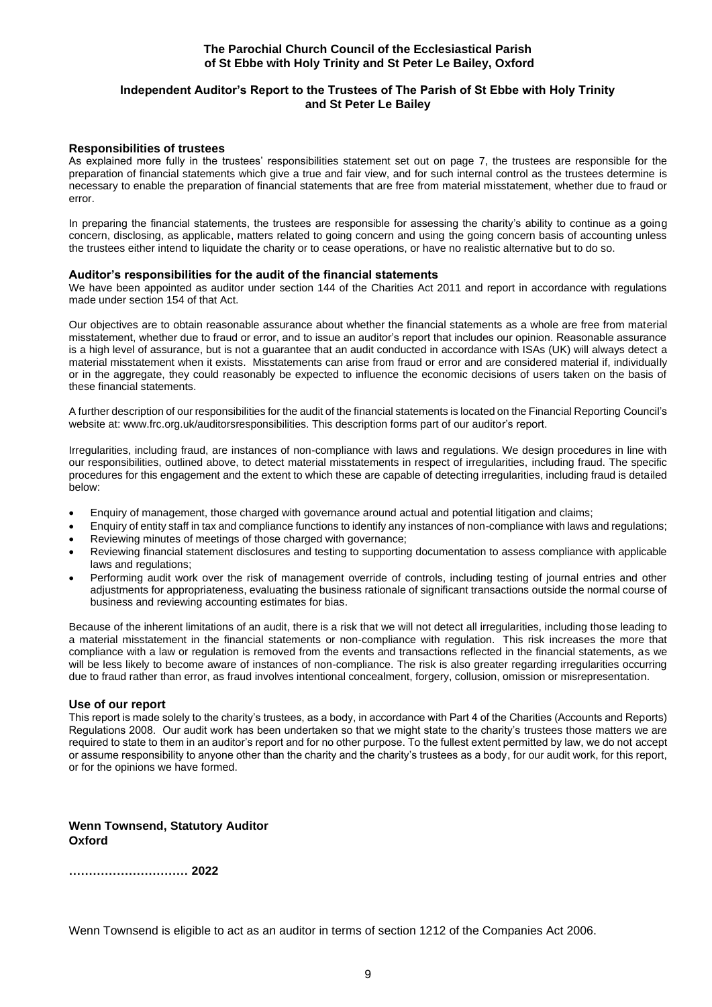# **Independent Auditor's Report to the Trustees of The Parish of St Ebbe with Holy Trinity and St Peter Le Bailey**

#### **Responsibilities of trustees**

As explained more fully in the trustees' responsibilities statement set out on page 7, the trustees are responsible for the preparation of financial statements which give a true and fair view, and for such internal control as the trustees determine is necessary to enable the preparation of financial statements that are free from material misstatement, whether due to fraud or error.

In preparing the financial statements, the trustees are responsible for assessing the charity's ability to continue as a going concern, disclosing, as applicable, matters related to going concern and using the going concern basis of accounting unless the trustees either intend to liquidate the charity or to cease operations, or have no realistic alternative but to do so.

#### **Auditor's responsibilities for the audit of the financial statements**

We have been appointed as auditor under section 144 of the Charities Act 2011 and report in accordance with regulations made under section 154 of that Act.

Our objectives are to obtain reasonable assurance about whether the financial statements as a whole are free from material misstatement, whether due to fraud or error, and to issue an auditor's report that includes our opinion. Reasonable assurance is a high level of assurance, but is not a guarantee that an audit conducted in accordance with ISAs (UK) will always detect a material misstatement when it exists. Misstatements can arise from fraud or error and are considered material if, individually or in the aggregate, they could reasonably be expected to influence the economic decisions of users taken on the basis of these financial statements.

A further description of our responsibilities for the audit of the financial statements is located on the Financial Reporting Council's website at: www.frc.org.uk/auditorsresponsibilities. This description forms part of our auditor's report.

Irregularities, including fraud, are instances of non-compliance with laws and regulations. We design procedures in line with our responsibilities, outlined above, to detect material misstatements in respect of irregularities, including fraud. The specific procedures for this engagement and the extent to which these are capable of detecting irregularities, including fraud is detailed below:

- Enquiry of management, those charged with governance around actual and potential litigation and claims;
- Enquiry of entity staff in tax and compliance functions to identify any instances of non-compliance with laws and regulations; • Reviewing minutes of meetings of those charged with governance;
- Reviewing financial statement disclosures and testing to supporting documentation to assess compliance with applicable laws and regulations;
- Performing audit work over the risk of management override of controls, including testing of journal entries and other adjustments for appropriateness, evaluating the business rationale of significant transactions outside the normal course of business and reviewing accounting estimates for bias.

Because of the inherent limitations of an audit, there is a risk that we will not detect all irregularities, including those leading to a material misstatement in the financial statements or non-compliance with regulation. This risk increases the more that compliance with a law or regulation is removed from the events and transactions reflected in the financial statements, as we will be less likely to become aware of instances of non-compliance. The risk is also greater regarding irregularities occurring due to fraud rather than error, as fraud involves intentional concealment, forgery, collusion, omission or misrepresentation.

## **Use of our report**

This report is made solely to the charity's trustees, as a body, in accordance with Part 4 of the Charities (Accounts and Reports) Regulations 2008. Our audit work has been undertaken so that we might state to the charity's trustees those matters we are required to state to them in an auditor's report and for no other purpose. To the fullest extent permitted by law, we do not accept or assume responsibility to anyone other than the charity and the charity's trustees as a body, for our audit work, for this report, or for the opinions we have formed.

# **Wenn Townsend, Statutory Auditor Oxford**

**………………………… 2022**

Wenn Townsend is eligible to act as an auditor in terms of section 1212 of the Companies Act 2006.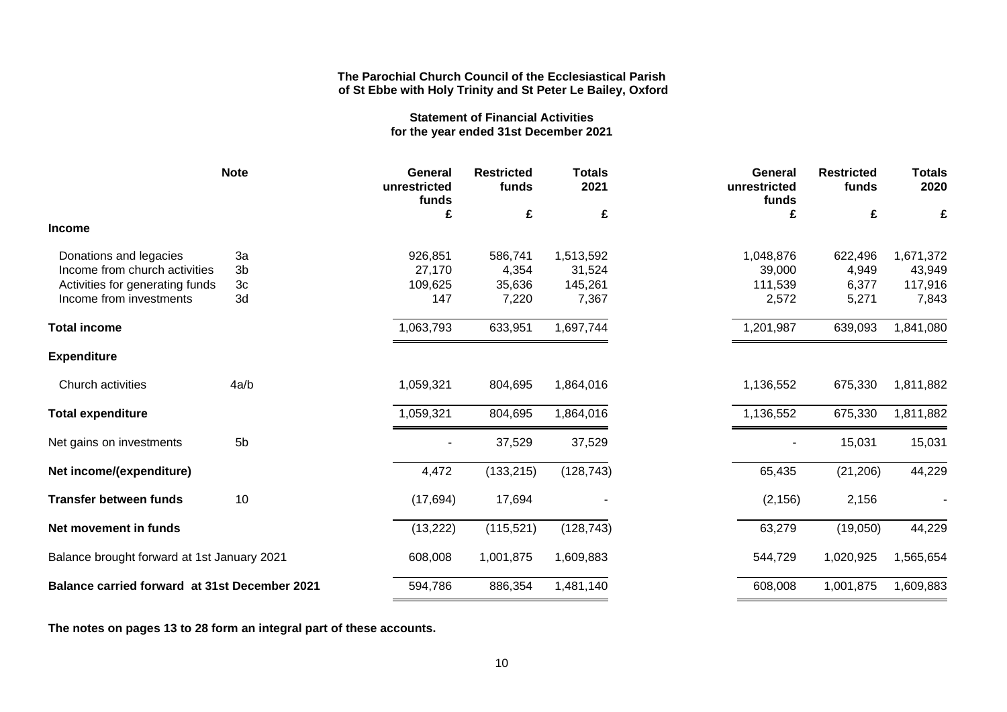# **Statement of Financial Activities for the year ended 31st December 2021**

|                                                      | <b>Note</b>    | General<br>unrestricted<br>funds | <b>Restricted</b><br>funds | <b>Totals</b><br>2021 | General<br>unrestricted<br>funds | <b>Restricted</b><br>funds | <b>Totals</b><br>2020 |
|------------------------------------------------------|----------------|----------------------------------|----------------------------|-----------------------|----------------------------------|----------------------------|-----------------------|
|                                                      |                | £                                | £                          | £                     | £                                | £                          | £                     |
| <b>Income</b>                                        |                |                                  |                            |                       |                                  |                            |                       |
| Donations and legacies                               | 3a             | 926,851                          | 586,741                    | 1,513,592             | 1,048,876                        | 622,496                    | 1,671,372             |
| Income from church activities                        | 3 <sub>b</sub> | 27,170                           | 4,354                      | 31,524                | 39,000                           | 4,949                      | 43,949                |
| Activities for generating funds                      | 3c             | 109,625                          | 35,636                     | 145,261               | 111,539                          | 6,377                      | 117,916               |
| Income from investments                              | 3d             | 147                              | 7,220                      | 7,367                 | 2,572                            | 5,271                      | 7,843                 |
| <b>Total income</b>                                  |                | 1,063,793                        | 633,951                    | 1,697,744             | 1,201,987                        | 639,093                    | 1,841,080             |
| <b>Expenditure</b>                                   |                |                                  |                            |                       |                                  |                            |                       |
| Church activities                                    | 4a/b           | 1,059,321                        | 804,695                    | 1,864,016             | 1,136,552                        | 675,330                    | 1,811,882             |
| <b>Total expenditure</b>                             |                | 1,059,321                        | 804,695                    | 1,864,016             | 1,136,552                        | 675,330                    | 1,811,882             |
| Net gains on investments                             | 5 <sub>b</sub> |                                  | 37,529                     | 37,529                |                                  | 15,031                     | 15,031                |
| Net income/(expenditure)                             |                | 4,472                            | (133, 215)                 | (128, 743)            | 65,435                           | (21, 206)                  | 44,229                |
| <b>Transfer between funds</b>                        | 10             | (17, 694)                        | 17,694                     |                       | (2, 156)                         | 2,156                      |                       |
| Net movement in funds                                |                | (13, 222)                        | (115, 521)                 | (128, 743)            | 63,279                           | (19,050)                   | 44,229                |
| Balance brought forward at 1st January 2021          |                | 608,008                          | 1,001,875                  | 1,609,883             | 544,729                          | 1,020,925                  | 1,565,654             |
| <b>Balance carried forward at 31st December 2021</b> |                | 594,786                          | 886,354                    | 1,481,140             | 608,008                          | 1,001,875                  | 1,609,883             |

**The notes on pages 13 to 28 form an integral part of these accounts.**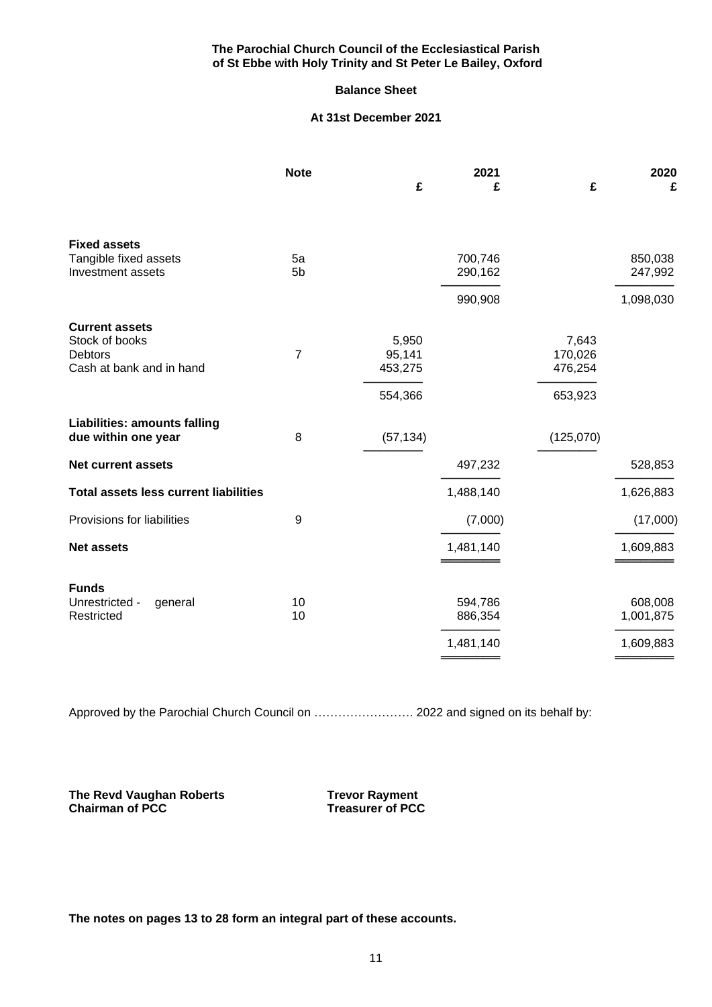# **Balance Sheet**

# **At 31st December 2021**

|                                                                                | <b>Note</b>          | £                                     | 2021<br>£          | £                                      | 2020<br>£            |
|--------------------------------------------------------------------------------|----------------------|---------------------------------------|--------------------|----------------------------------------|----------------------|
|                                                                                |                      |                                       |                    |                                        |                      |
| <b>Fixed assets</b><br>Tangible fixed assets<br>Investment assets              | 5a<br>5 <sub>b</sub> |                                       | 700,746<br>290,162 |                                        | 850,038<br>247,992   |
|                                                                                |                      |                                       | 990,908            |                                        | 1,098,030            |
| <b>Current assets</b><br>Stock of books<br>Debtors<br>Cash at bank and in hand | $\overline{7}$       | 5,950<br>95,141<br>453,275<br>554,366 |                    | 7,643<br>170,026<br>476,254<br>653,923 |                      |
| <b>Liabilities: amounts falling</b><br>due within one year                     | 8                    | (57, 134)                             |                    | (125,070)                              |                      |
| <b>Net current assets</b>                                                      |                      |                                       | 497,232            |                                        | 528,853              |
| <b>Total assets less current liabilities</b>                                   |                      |                                       | 1,488,140          |                                        | 1,626,883            |
| Provisions for liabilities                                                     | $\boldsymbol{9}$     |                                       | (7,000)            |                                        | (17,000)             |
| <b>Net assets</b>                                                              |                      |                                       | 1,481,140          |                                        | 1,609,883            |
| <b>Funds</b><br>Unrestricted -<br>general<br>Restricted                        | 10<br>10             |                                       | 594,786<br>886,354 |                                        | 608,008<br>1,001,875 |
|                                                                                |                      |                                       | 1,481,140          |                                        | 1,609,883            |

Approved by the Parochial Church Council on ......................... 2022 and signed on its behalf by:

**The Revd Vaughan Roberts Trevor Rayment<br>Chairman of PCC Treasurer of PCC** 

**Chairman of PCC Treasurer of PCC**

**The notes on pages 13 to 28 form an integral part of these accounts.**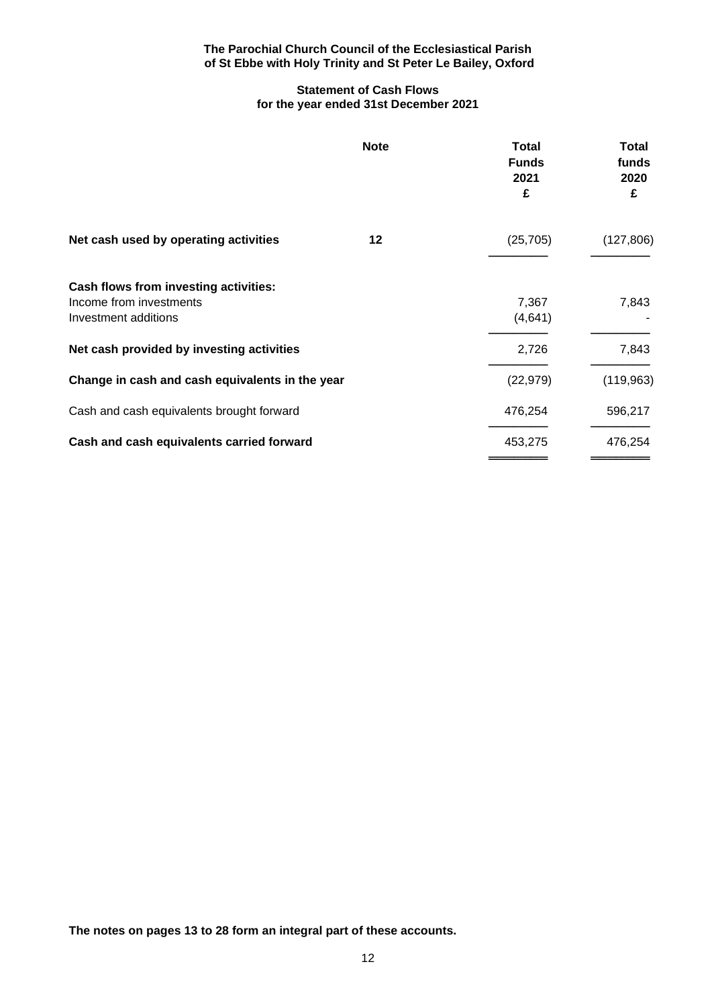# **Statement of Cash Flows for the year ended 31st December 2021**

|                                                                                          | <b>Note</b> | <b>Total</b><br><b>Funds</b><br>2021<br>£ | <b>Total</b><br>funds<br>2020<br>£ |
|------------------------------------------------------------------------------------------|-------------|-------------------------------------------|------------------------------------|
| Net cash used by operating activities                                                    | 12          | (25, 705)                                 | (127, 806)                         |
| Cash flows from investing activities:<br>Income from investments<br>Investment additions |             | 7,367<br>(4,641)                          | 7,843                              |
| Net cash provided by investing activities                                                |             | 2,726                                     | 7,843                              |
| Change in cash and cash equivalents in the year                                          |             | (22, 979)                                 | (119, 963)                         |
| Cash and cash equivalents brought forward                                                |             | 476,254                                   | 596,217                            |
| Cash and cash equivalents carried forward                                                |             | 453,275                                   | 476,254                            |
|                                                                                          |             |                                           |                                    |

**The notes on pages 13 to 28 form an integral part of these accounts.**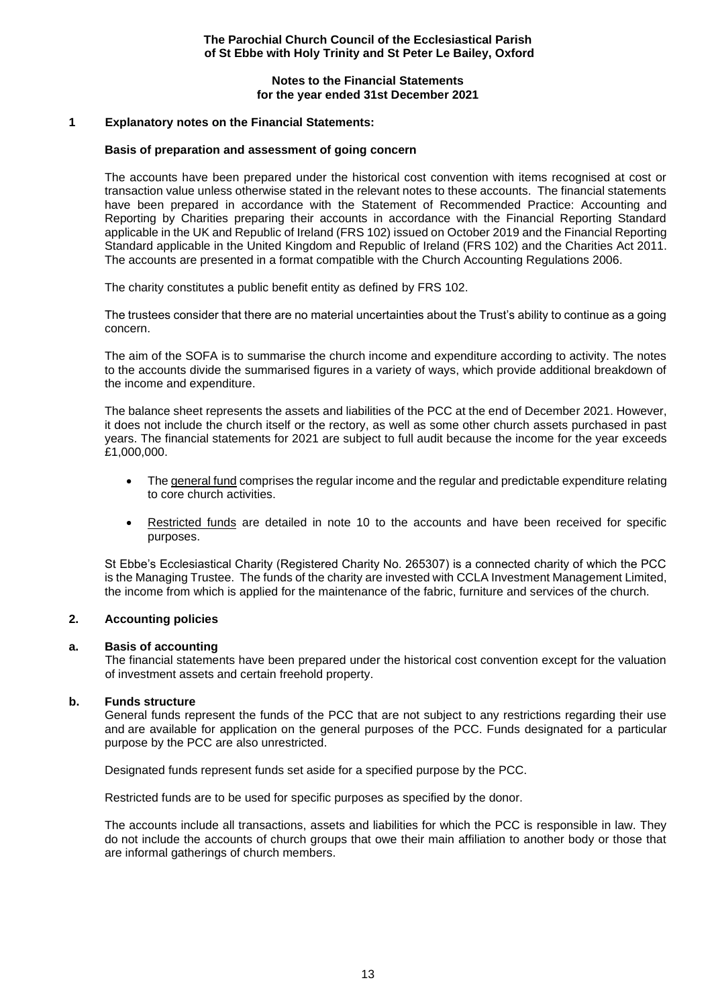# **Notes to the Financial Statements for the year ended 31st December 2021**

## **1 Explanatory notes on the Financial Statements:**

#### **Basis of preparation and assessment of going concern**

The accounts have been prepared under the historical cost convention with items recognised at cost or transaction value unless otherwise stated in the relevant notes to these accounts. The financial statements have been prepared in accordance with the Statement of Recommended Practice: Accounting and Reporting by Charities preparing their accounts in accordance with the Financial Reporting Standard applicable in the UK and Republic of Ireland (FRS 102) issued on October 2019 and the Financial Reporting Standard applicable in the United Kingdom and Republic of Ireland (FRS 102) and the Charities Act 2011. The accounts are presented in a format compatible with the Church Accounting Regulations 2006.

The charity constitutes a public benefit entity as defined by FRS 102.

The trustees consider that there are no material uncertainties about the Trust's ability to continue as a going concern.

The aim of the SOFA is to summarise the church income and expenditure according to activity. The notes to the accounts divide the summarised figures in a variety of ways, which provide additional breakdown of the income and expenditure.

The balance sheet represents the assets and liabilities of the PCC at the end of December 2021. However, it does not include the church itself or the rectory, as well as some other church assets purchased in past years. The financial statements for 2021 are subject to full audit because the income for the year exceeds £1,000,000.

- The general fund comprises the regular income and the regular and predictable expenditure relating to core church activities.
- Restricted funds are detailed in note 10 to the accounts and have been received for specific purposes.

St Ebbe's Ecclesiastical Charity (Registered Charity No. 265307) is a connected charity of which the PCC is the Managing Trustee. The funds of the charity are invested with CCLA Investment Management Limited, the income from which is applied for the maintenance of the fabric, furniture and services of the church.

## **2. Accounting policies**

#### **a. Basis of accounting**

The financial statements have been prepared under the historical cost convention except for the valuation of investment assets and certain freehold property.

## **b. Funds structure**

General funds represent the funds of the PCC that are not subject to any restrictions regarding their use and are available for application on the general purposes of the PCC. Funds designated for a particular purpose by the PCC are also unrestricted.

Designated funds represent funds set aside for a specified purpose by the PCC.

Restricted funds are to be used for specific purposes as specified by the donor.

The accounts include all transactions, assets and liabilities for which the PCC is responsible in law. They do not include the accounts of church groups that owe their main affiliation to another body or those that are informal gatherings of church members.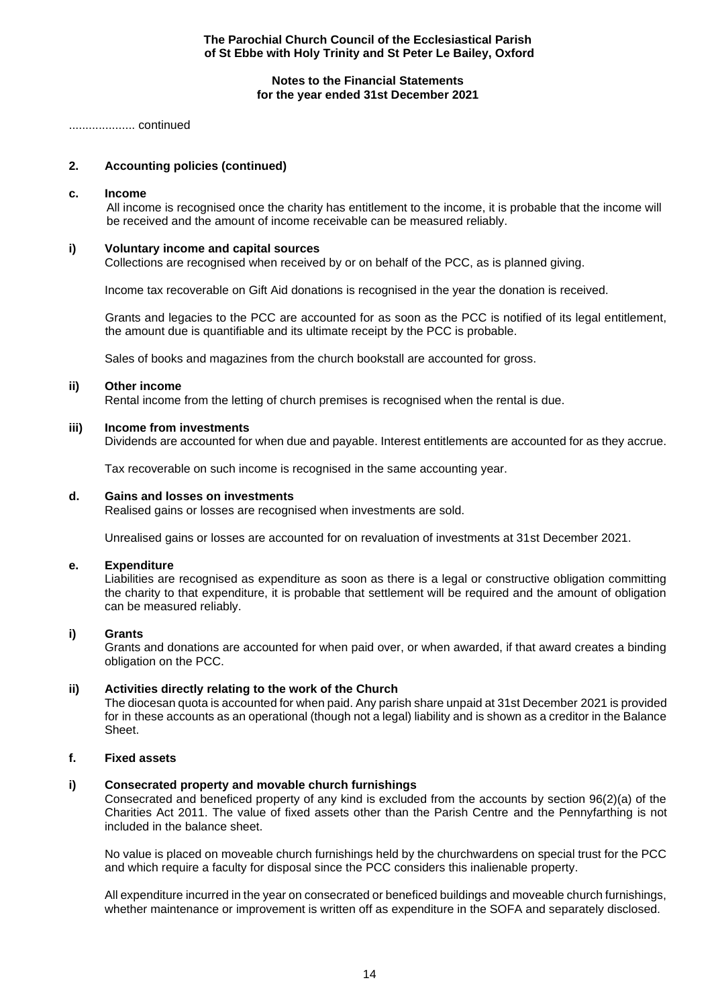## **Notes to the Financial Statements for the year ended 31st December 2021**

.................... continued

# **2. Accounting policies (continued)**

#### **c. Income**

All income is recognised once the charity has entitlement to the income, it is probable that the income will be received and the amount of income receivable can be measured reliably.

## **i) Voluntary income and capital sources**

Collections are recognised when received by or on behalf of the PCC, as is planned giving.

Income tax recoverable on Gift Aid donations is recognised in the year the donation is received.

Grants and legacies to the PCC are accounted for as soon as the PCC is notified of its legal entitlement, the amount due is quantifiable and its ultimate receipt by the PCC is probable.

Sales of books and magazines from the church bookstall are accounted for gross.

#### **ii) Other income**

Rental income from the letting of church premises is recognised when the rental is due.

#### **iii) Income from investments**

Dividends are accounted for when due and payable. Interest entitlements are accounted for as they accrue.

Tax recoverable on such income is recognised in the same accounting year.

#### **d. Gains and losses on investments**

Realised gains or losses are recognised when investments are sold.

Unrealised gains or losses are accounted for on revaluation of investments at 31st December 2021.

#### **e. Expenditure**

Liabilities are recognised as expenditure as soon as there is a legal or constructive obligation committing the charity to that expenditure, it is probable that settlement will be required and the amount of obligation can be measured reliably.

## **i) Grants**

Grants and donations are accounted for when paid over, or when awarded, if that award creates a binding obligation on the PCC.

# **ii) Activities directly relating to the work of the Church**

The diocesan quota is accounted for when paid. Any parish share unpaid at 31st December 2021 is provided for in these accounts as an operational (though not a legal) liability and is shown as a creditor in the Balance Sheet.

# **f. Fixed assets**

## **i) Consecrated property and movable church furnishings**

Consecrated and beneficed property of any kind is excluded from the accounts by section 96(2)(a) of the Charities Act 2011. The value of fixed assets other than the Parish Centre and the Pennyfarthing is not included in the balance sheet.

No value is placed on moveable church furnishings held by the churchwardens on special trust for the PCC and which require a faculty for disposal since the PCC considers this inalienable property.

All expenditure incurred in the year on consecrated or beneficed buildings and moveable church furnishings, whether maintenance or improvement is written off as expenditure in the SOFA and separately disclosed.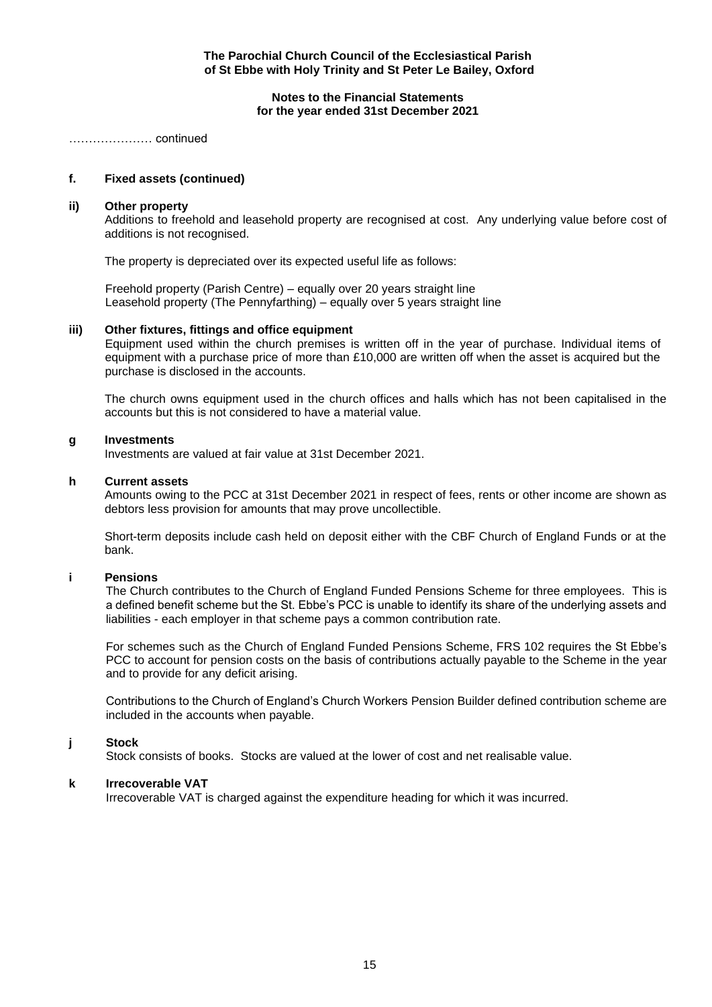**Notes to the Financial Statements for the year ended 31st December 2021**

………………… continued

# **f. Fixed assets (continued)**

## **ii) Other property**

Additions to freehold and leasehold property are recognised at cost. Any underlying value before cost of additions is not recognised.

The property is depreciated over its expected useful life as follows:

 Freehold property (Parish Centre) – equally over 20 years straight line Leasehold property (The Pennyfarthing) – equally over 5 years straight line

#### **iii) Other fixtures, fittings and office equipment**

Equipment used within the church premises is written off in the year of purchase. Individual items of equipment with a purchase price of more than £10,000 are written off when the asset is acquired but the purchase is disclosed in the accounts.

The church owns equipment used in the church offices and halls which has not been capitalised in the accounts but this is not considered to have a material value.

#### **g Investments**

Investments are valued at fair value at 31st December 2021.

#### **h Current assets**

Amounts owing to the PCC at 31st December 2021 in respect of fees, rents or other income are shown as debtors less provision for amounts that may prove uncollectible.

Short-term deposits include cash held on deposit either with the CBF Church of England Funds or at the bank.

## **i Pensions**

 The Church contributes to the Church of England Funded Pensions Scheme for three employees. This is a defined benefit scheme but the St. Ebbe's PCC is unable to identify its share of the underlying assets and liabilities - each employer in that scheme pays a common contribution rate.

For schemes such as the Church of England Funded Pensions Scheme, FRS 102 requires the St Ebbe's PCC to account for pension costs on the basis of contributions actually payable to the Scheme in the year and to provide for any deficit arising.

Contributions to the Church of England's Church Workers Pension Builder defined contribution scheme are included in the accounts when payable.

## **j Stock**

Stock consists of books. Stocks are valued at the lower of cost and net realisable value.

#### **k Irrecoverable VAT**

Irrecoverable VAT is charged against the expenditure heading for which it was incurred.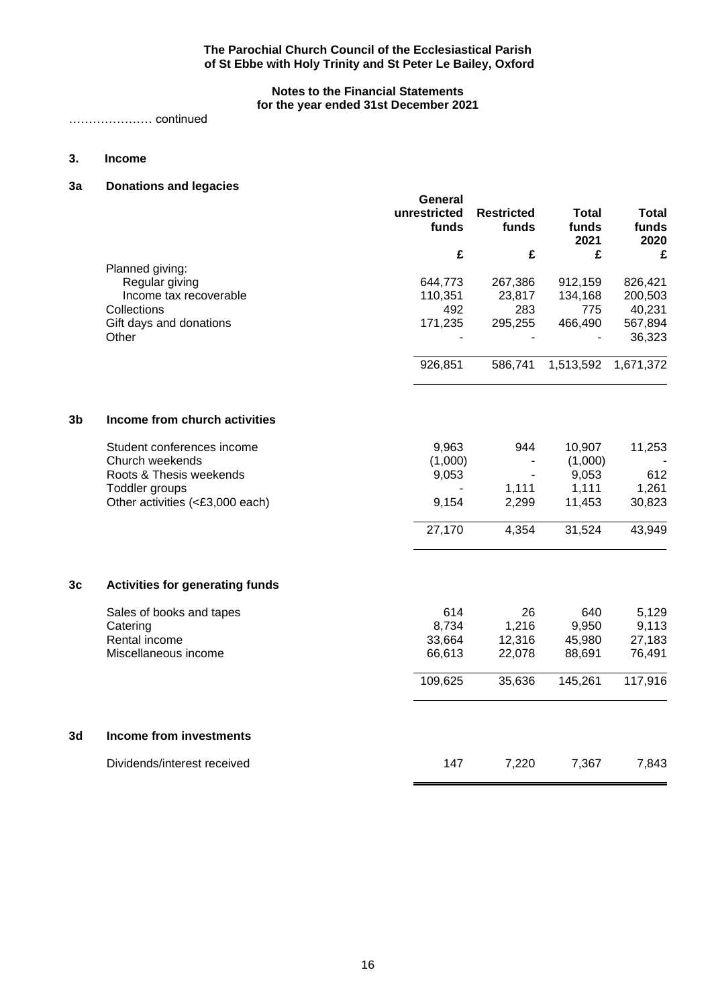# **Notes to the Financial Statements for the year ended 31st December 2021**

………………… continued

# **3. Income**

# **3a Donations and legacies**

|    |                                        | General<br>unrestricted<br>funds | <b>Restricted</b><br>funds | <b>Total</b><br>funds<br>2021 | <b>Total</b><br>funds<br>2020 |
|----|----------------------------------------|----------------------------------|----------------------------|-------------------------------|-------------------------------|
|    |                                        | £                                | £                          | £                             | £                             |
|    | Planned giving:<br>Regular giving      | 644,773                          | 267,386                    | 912,159                       | 826,421                       |
|    | Income tax recoverable                 | 110,351                          | 23,817                     | 134,168                       | 200,503                       |
|    | Collections                            | 492                              | 283                        | 775                           | 40,231                        |
|    | Gift days and donations                | 171,235                          | 295,255                    | 466,490                       | 567,894                       |
|    | Other                                  |                                  |                            |                               | 36,323                        |
|    |                                        | 926,851                          | 586,741                    | 1,513,592                     | 1,671,372                     |
| 3b | Income from church activities          |                                  |                            |                               |                               |
|    | Student conferences income             | 9,963                            | 944                        | 10,907                        | 11,253                        |
|    | Church weekends                        | (1,000)                          |                            | (1,000)                       |                               |
|    | Roots & Thesis weekends                | 9,053                            |                            | 9,053                         | 612                           |
|    | Toddler groups                         |                                  | 1,111                      | 1,111                         | 1,261                         |
|    | Other activities (<£3,000 each)        | 9,154                            | 2,299                      | 11,453                        | 30,823                        |
|    |                                        | 27,170                           | 4,354                      | 31,524                        | 43,949                        |
| 3c | <b>Activities for generating funds</b> |                                  |                            |                               |                               |
|    | Sales of books and tapes               | 614                              | 26                         | 640                           | 5,129                         |
|    | Catering                               | 8,734                            | 1,216                      | 9,950                         | 9,113                         |
|    | Rental income                          | 33,664                           | 12,316                     | 45,980                        | 27,183                        |
|    | Miscellaneous income                   | 66,613                           | 22,078                     | 88,691                        | 76,491                        |
|    |                                        | 109,625                          | 35,636                     | 145,261                       | 117,916                       |
| 3d | <b>Income from investments</b>         |                                  |                            |                               |                               |
|    | Dividends/interest received            | 147                              | 7,220                      | 7,367                         | 7,843                         |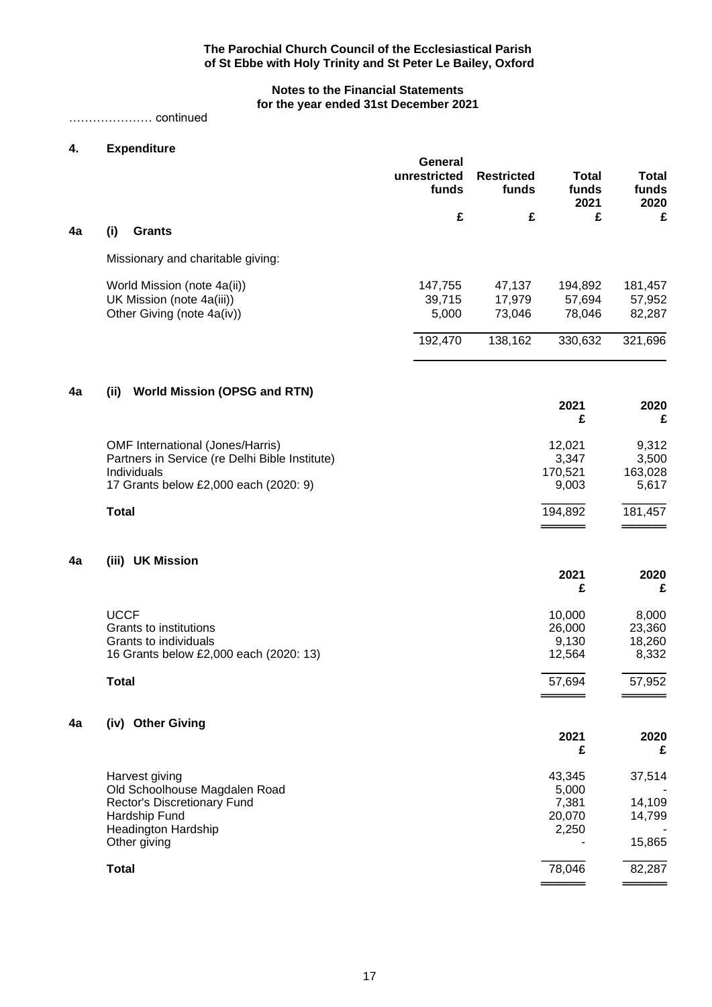# **Notes to the Financial Statements for the year ended 31st December 2021**

# ………………… continued

# **4. Expenditure**

|    |                                                                 | General<br>unrestricted<br>funds | <b>Restricted</b><br>funds | <b>Total</b><br>funds<br>2021 | <b>Total</b><br>funds<br>2020 |
|----|-----------------------------------------------------------------|----------------------------------|----------------------------|-------------------------------|-------------------------------|
|    |                                                                 | £                                | £                          | £                             | £                             |
| 4a | (i)<br><b>Grants</b>                                            |                                  |                            |                               |                               |
|    | Missionary and charitable giving:                               |                                  |                            |                               |                               |
|    | World Mission (note 4a(ii))                                     | 147,755                          | 47,137                     | 194,892                       | 181,457                       |
|    | UK Mission (note 4a(iii))                                       | 39,715                           | 17,979                     | 57,694                        | 57,952                        |
|    | Other Giving (note 4a(iv))                                      | 5,000                            | 73,046                     | 78,046                        | 82,287                        |
|    |                                                                 | 192,470                          | 138,162                    | 330,632                       | 321,696                       |
| 4a | <b>World Mission (OPSG and RTN)</b><br>(iii)                    |                                  |                            |                               |                               |
|    |                                                                 |                                  |                            | 2021<br>£                     | 2020<br>£                     |
|    | <b>OMF International (Jones/Harris)</b>                         |                                  |                            | 12,021                        | 9,312                         |
|    | Partners in Service (re Delhi Bible Institute)                  |                                  |                            | 3,347                         | 3,500                         |
|    | Individuals<br>17 Grants below £2,000 each (2020: 9)            |                                  |                            | 170,521<br>9,003              | 163,028<br>5,617              |
|    | <b>Total</b>                                                    |                                  |                            | 194,892                       | 181,457                       |
|    |                                                                 |                                  |                            |                               |                               |
| 4a | (iii) UK Mission                                                |                                  |                            | 2021                          | 2020                          |
|    |                                                                 |                                  |                            | £                             | £                             |
|    | <b>UCCF</b>                                                     |                                  |                            | 10,000                        | 8,000                         |
|    | Grants to institutions                                          |                                  |                            | 26,000                        | 23,360                        |
|    | Grants to individuals<br>16 Grants below £2,000 each (2020: 13) |                                  |                            | 9,130<br>12,564               | 18,260<br>8,332               |
|    |                                                                 |                                  |                            |                               |                               |
|    | <b>Total</b>                                                    |                                  |                            | 57,694                        | 57,952                        |
| 4a | (iv) Other Giving                                               |                                  |                            | 2021                          | 2020                          |
|    |                                                                 |                                  |                            | £                             | £                             |
|    | Harvest giving                                                  |                                  |                            | 43,345                        | 37,514                        |
|    | Old Schoolhouse Magdalen Road<br>Rector's Discretionary Fund    |                                  |                            | 5,000<br>7,381                | 14,109                        |
|    | Hardship Fund                                                   |                                  |                            | 20,070                        | 14,799                        |
|    | <b>Headington Hardship</b><br>Other giving                      |                                  |                            | 2,250                         | 15,865                        |
|    |                                                                 |                                  |                            |                               |                               |
|    | <b>Total</b>                                                    |                                  |                            | 78,046                        | 82,287                        |

══════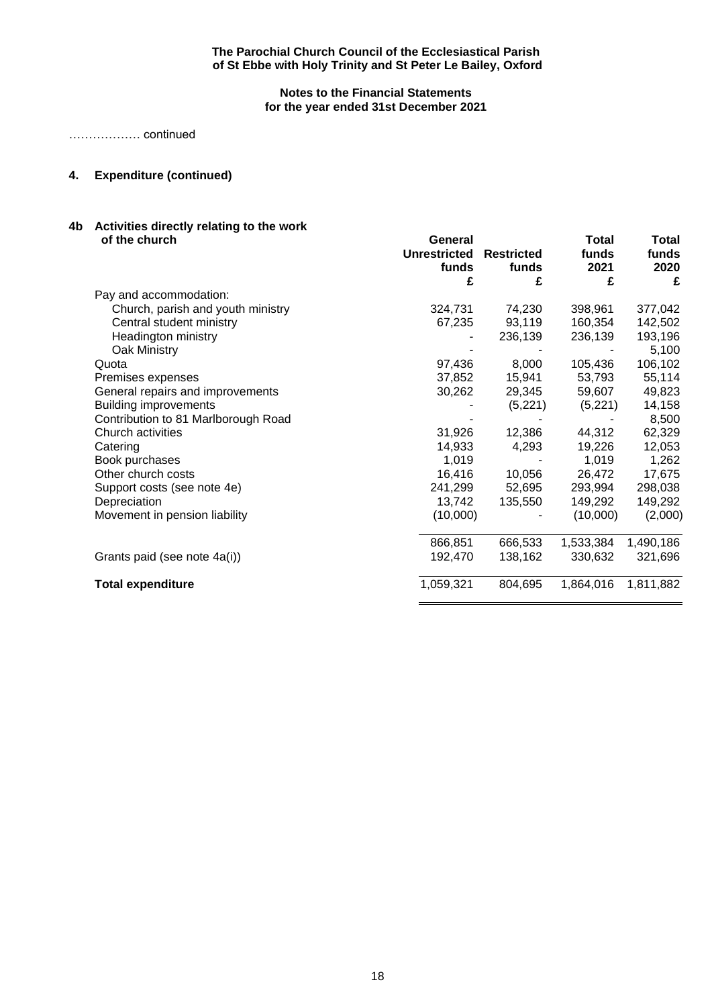# **Notes to the Financial Statements for the year ended 31st December 2021**

……………… continued

# **4. Expenditure (continued)**

# **4b Activities directly relating to the work**

| of the church                       | General             |                   | Total     | Total     |
|-------------------------------------|---------------------|-------------------|-----------|-----------|
|                                     | <b>Unrestricted</b> | <b>Restricted</b> | funds     | funds     |
|                                     | funds               | funds             | 2021      | 2020      |
|                                     | £                   | £                 | £         | £         |
| Pay and accommodation:              |                     |                   |           |           |
| Church, parish and youth ministry   | 324,731             | 74,230            | 398,961   | 377,042   |
| Central student ministry            | 67,235              | 93,119            | 160,354   | 142,502   |
| Headington ministry                 |                     | 236,139           | 236,139   | 193,196   |
| Oak Ministry                        |                     |                   |           | 5,100     |
| Quota                               | 97,436              | 8,000             | 105,436   | 106,102   |
| Premises expenses                   | 37,852              | 15,941            | 53,793    | 55,114    |
| General repairs and improvements    | 30,262              | 29,345            | 59,607    | 49,823    |
| <b>Building improvements</b>        |                     | (5,221)           | (5,221)   | 14,158    |
| Contribution to 81 Marlborough Road |                     |                   |           | 8,500     |
| Church activities                   | 31,926              | 12,386            | 44,312    | 62,329    |
| Catering                            | 14,933              | 4,293             | 19,226    | 12,053    |
| Book purchases                      | 1,019               |                   | 1,019     | 1,262     |
| Other church costs                  | 16,416              | 10,056            | 26,472    | 17,675    |
| Support costs (see note 4e)         | 241,299             | 52,695            | 293,994   | 298,038   |
| Depreciation                        | 13,742              | 135,550           | 149,292   | 149,292   |
| Movement in pension liability       | (10,000)            |                   | (10,000)  | (2,000)   |
|                                     |                     |                   |           |           |
|                                     | 866,851             | 666,533           | 1,533,384 | 1,490,186 |
| Grants paid (see note 4a(i))        | 192,470             | 138,162           | 330,632   | 321,696   |
| <b>Total expenditure</b>            | 1,059,321           | 804,695           | 1,864,016 | 1,811,882 |
|                                     |                     |                   |           |           |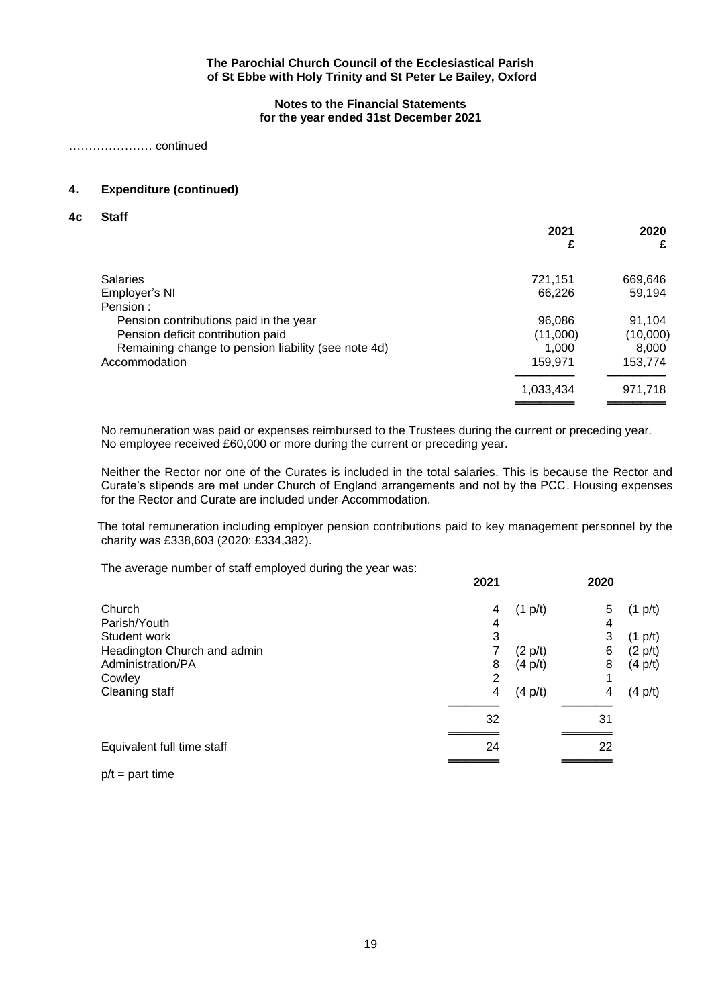**Notes to the Financial Statements for the year ended 31st December 2021**

………………… continued

# **4. Expenditure (continued)**

**4c Staff**

|                                                     | 2021<br>£ | 2020<br>£ |
|-----------------------------------------------------|-----------|-----------|
| <b>Salaries</b>                                     | 721,151   | 669,646   |
| Employer's NI                                       | 66,226    | 59,194    |
| Pension:                                            |           |           |
| Pension contributions paid in the year              | 96,086    | 91,104    |
| Pension deficit contribution paid                   | (11,000)  | (10,000)  |
| Remaining change to pension liability (see note 4d) | 1.000     | 8,000     |
| Accommodation                                       | 159,971   | 153,774   |
|                                                     | 1,033,434 | 971,718   |
|                                                     |           |           |

No remuneration was paid or expenses reimbursed to the Trustees during the current or preceding year. No employee received £60,000 or more during the current or preceding year.

Neither the Rector nor one of the Curates is included in the total salaries. This is because the Rector and Curate's stipends are met under Church of England arrangements and not by the PCC. Housing expenses for the Rector and Curate are included under Accommodation.

The total remuneration including employer pension contributions paid to key management personnel by the charity was £338,603 (2020: £334,382).

The average number of staff employed during the year was:

|                             | 2021 |                   | 2020 |                   |
|-----------------------------|------|-------------------|------|-------------------|
| Church                      | 4    | $(1 \text{ p/t})$ | 5    | $(1 \text{ p/t})$ |
| Parish/Youth                | 4    |                   | 4    |                   |
| Student work                | 3    |                   | 3    | $(1 \text{ p/t})$ |
| Headington Church and admin | 7    | (2 p/t)           | 6    | $(2 \text{ p/t})$ |
| Administration/PA           | 8    | $(4 \text{ p/t})$ | 8    | $(4 \text{ p/t})$ |
| Cowley                      | 2    |                   | 1    |                   |
| Cleaning staff              | 4    | $(4 \text{ p/t})$ | 4    | $(4 \text{ p/t})$ |
|                             |      |                   |      |                   |
|                             | 32   |                   | 31   |                   |
|                             |      |                   |      |                   |
| Equivalent full time staff  | 24   |                   | 22   |                   |
|                             |      |                   |      |                   |

 $p/t =$  part time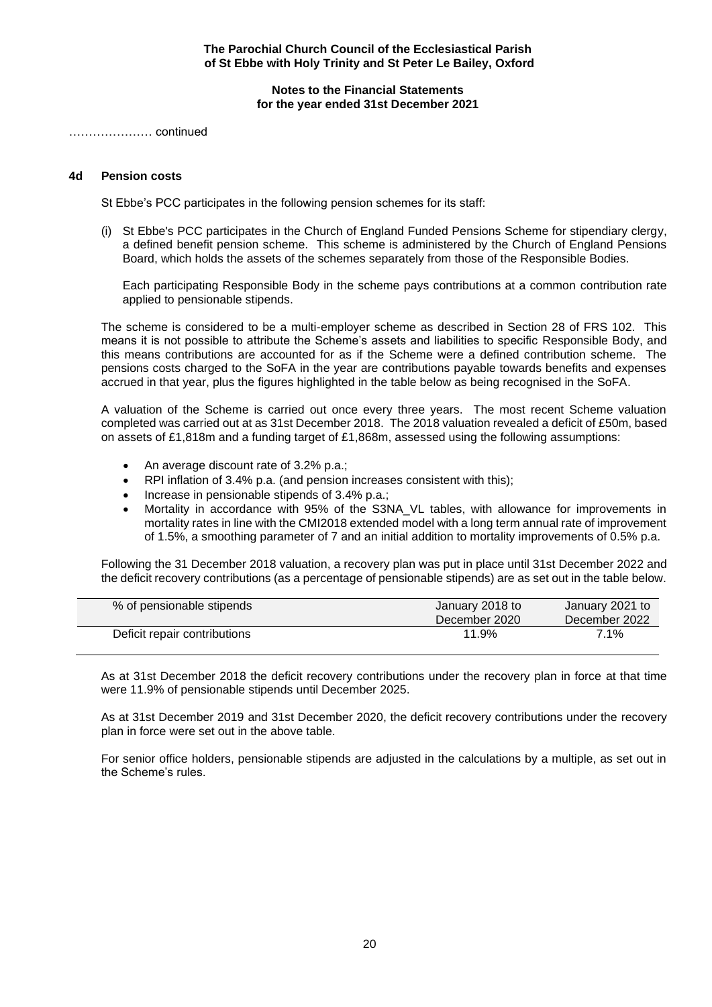#### **Notes to the Financial Statements for the year ended 31st December 2021**

………………… continued

# **4d Pension costs**

St Ebbe's PCC participates in the following pension schemes for its staff:

(i) St Ebbe's PCC participates in the Church of England Funded Pensions Scheme for stipendiary clergy, a defined benefit pension scheme. This scheme is administered by the Church of England Pensions Board, which holds the assets of the schemes separately from those of the Responsible Bodies.

Each participating Responsible Body in the scheme pays contributions at a common contribution rate applied to pensionable stipends.

The scheme is considered to be a multi-employer scheme as described in Section 28 of FRS 102. This means it is not possible to attribute the Scheme's assets and liabilities to specific Responsible Body, and this means contributions are accounted for as if the Scheme were a defined contribution scheme. The pensions costs charged to the SoFA in the year are contributions payable towards benefits and expenses accrued in that year, plus the figures highlighted in the table below as being recognised in the SoFA.

A valuation of the Scheme is carried out once every three years. The most recent Scheme valuation completed was carried out at as 31st December 2018. The 2018 valuation revealed a deficit of £50m, based on assets of £1,818m and a funding target of £1,868m, assessed using the following assumptions:

- An average discount rate of 3.2% p.a.;
- RPI inflation of 3.4% p.a. (and pension increases consistent with this);
- Increase in pensionable stipends of 3.4% p.a.;
- Mortality in accordance with 95% of the S3NA\_VL tables, with allowance for improvements in mortality rates in line with the CMI2018 extended model with a long term annual rate of improvement of 1.5%, a smoothing parameter of 7 and an initial addition to mortality improvements of 0.5% p.a.

Following the 31 December 2018 valuation, a recovery plan was put in place until 31st December 2022 and the deficit recovery contributions (as a percentage of pensionable stipends) are as set out in the table below.

| % of pensionable stipends    | January 2018 to<br>December 2020 | January 2021 to<br>December 2022 |
|------------------------------|----------------------------------|----------------------------------|
| Deficit repair contributions | 11.9%                            | 7.1%                             |

As at 31st December 2018 the deficit recovery contributions under the recovery plan in force at that time were 11.9% of pensionable stipends until December 2025.

As at 31st December 2019 and 31st December 2020, the deficit recovery contributions under the recovery plan in force were set out in the above table.

For senior office holders, pensionable stipends are adjusted in the calculations by a multiple, as set out in the Scheme's rules.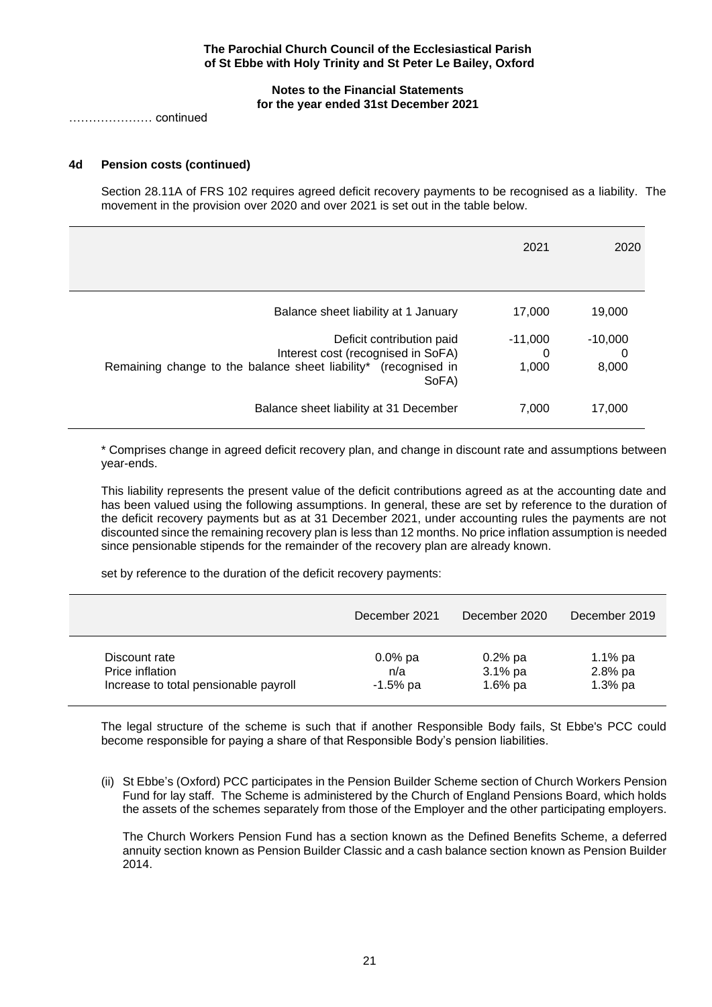## **Notes to the Financial Statements for the year ended 31st December 2021**

………………… continued

# **4d Pension costs (continued)**

Section 28.11A of FRS 102 requires agreed deficit recovery payments to be recognised as a liability. The movement in the provision over 2020 and over 2021 is set out in the table below.

|                                                                                                                                             | 2021                    | 2020                    |
|---------------------------------------------------------------------------------------------------------------------------------------------|-------------------------|-------------------------|
| Balance sheet liability at 1 January                                                                                                        | 17,000                  | 19,000                  |
| Deficit contribution paid<br>Interest cost (recognised in SoFA)<br>Remaining change to the balance sheet liability* (recognised in<br>SoFA) | $-11,000$<br>0<br>1,000 | $-10,000$<br>0<br>8,000 |
| Balance sheet liability at 31 December                                                                                                      | 7,000                   | 17,000                  |

\* Comprises change in agreed deficit recovery plan, and change in discount rate and assumptions between year-ends.

This liability represents the present value of the deficit contributions agreed as at the accounting date and has been valued using the following assumptions. In general, these are set by reference to the duration of the deficit recovery payments but as at 31 December 2021, under accounting rules the payments are not discounted since the remaining recovery plan is less than 12 months. No price inflation assumption is needed since pensionable stipends for the remainder of the recovery plan are already known.

set by reference to the duration of the deficit recovery payments:

|                                       | December 2021 | December 2020 | December 2019 |
|---------------------------------------|---------------|---------------|---------------|
| Discount rate                         | $0.0\%$ pa    | $0.2\%$ pa    | 1.1% $pa$     |
| Price inflation                       | n/a           | $3.1\%$ pa    | 2.8% pa       |
| Increase to total pensionable payroll | $-1.5%$ pa    | 1.6% $pa$     | $1.3%$ pa     |

The legal structure of the scheme is such that if another Responsible Body fails, St Ebbe's PCC could become responsible for paying a share of that Responsible Body's pension liabilities.

(ii) St Ebbe's (Oxford) PCC participates in the Pension Builder Scheme section of Church Workers Pension Fund for lay staff. The Scheme is administered by the Church of England Pensions Board, which holds the assets of the schemes separately from those of the Employer and the other participating employers.

The Church Workers Pension Fund has a section known as the Defined Benefits Scheme, a deferred annuity section known as Pension Builder Classic and a cash balance section known as Pension Builder 2014.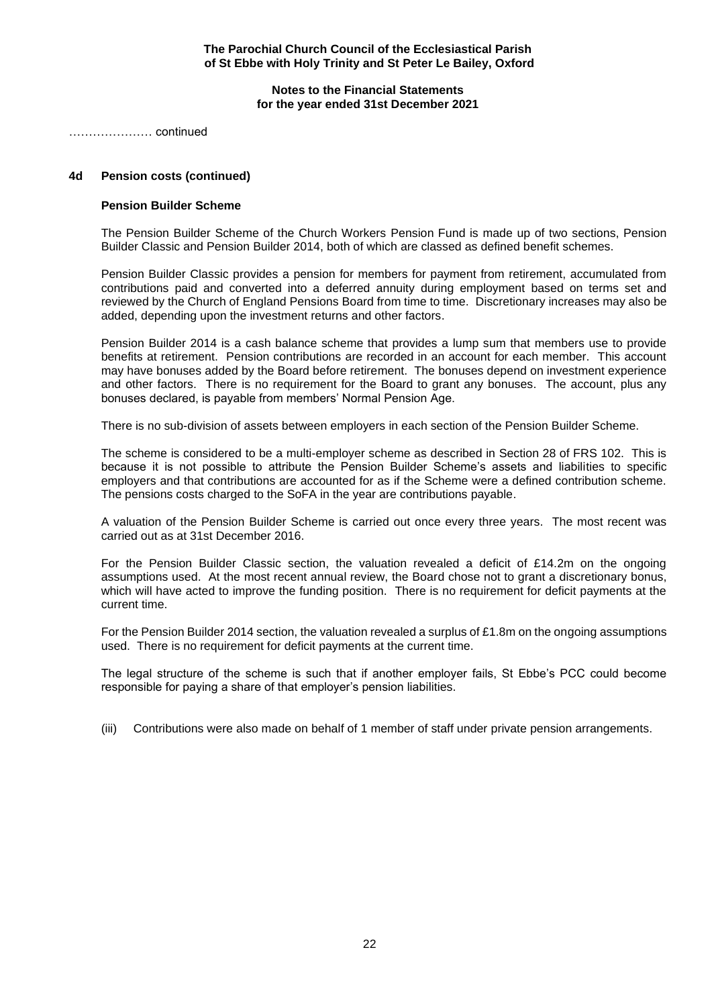**Notes to the Financial Statements for the year ended 31st December 2021**

………………… continued

# **4d Pension costs (continued)**

## **Pension Builder Scheme**

The Pension Builder Scheme of the Church Workers Pension Fund is made up of two sections, Pension Builder Classic and Pension Builder 2014, both of which are classed as defined benefit schemes.

Pension Builder Classic provides a pension for members for payment from retirement, accumulated from contributions paid and converted into a deferred annuity during employment based on terms set and reviewed by the Church of England Pensions Board from time to time. Discretionary increases may also be added, depending upon the investment returns and other factors.

Pension Builder 2014 is a cash balance scheme that provides a lump sum that members use to provide benefits at retirement. Pension contributions are recorded in an account for each member. This account may have bonuses added by the Board before retirement. The bonuses depend on investment experience and other factors. There is no requirement for the Board to grant any bonuses. The account, plus any bonuses declared, is payable from members' Normal Pension Age.

There is no sub-division of assets between employers in each section of the Pension Builder Scheme.

The scheme is considered to be a multi-employer scheme as described in Section 28 of FRS 102. This is because it is not possible to attribute the Pension Builder Scheme's assets and liabilities to specific employers and that contributions are accounted for as if the Scheme were a defined contribution scheme. The pensions costs charged to the SoFA in the year are contributions payable.

A valuation of the Pension Builder Scheme is carried out once every three years. The most recent was carried out as at 31st December 2016.

For the Pension Builder Classic section, the valuation revealed a deficit of £14.2m on the ongoing assumptions used. At the most recent annual review, the Board chose not to grant a discretionary bonus, which will have acted to improve the funding position. There is no requirement for deficit payments at the current time.

For the Pension Builder 2014 section, the valuation revealed a surplus of £1.8m on the ongoing assumptions used. There is no requirement for deficit payments at the current time.

The legal structure of the scheme is such that if another employer fails, St Ebbe's PCC could become responsible for paying a share of that employer's pension liabilities.

(iii) Contributions were also made on behalf of 1 member of staff under private pension arrangements.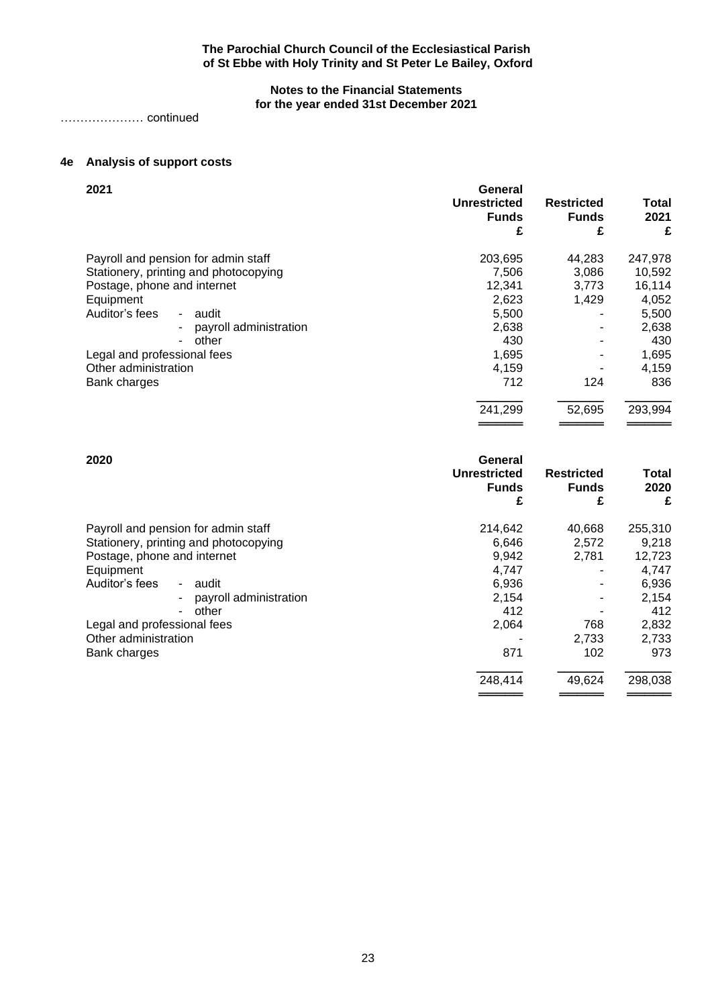# **Notes to the Financial Statements for the year ended 31st December 2021**

………………… continued

# **4e Analysis of support costs**

| 2021                                  | General<br><b>Unrestricted</b><br><b>Funds</b><br>£ | <b>Restricted</b><br><b>Funds</b><br>£ | <b>Total</b><br>2021<br>£ |
|---------------------------------------|-----------------------------------------------------|----------------------------------------|---------------------------|
| Payroll and pension for admin staff   | 203,695                                             | 44,283                                 | 247,978                   |
| Stationery, printing and photocopying | 7,506                                               | 3,086                                  | 10,592                    |
| Postage, phone and internet           | 12,341                                              | 3.773                                  | 16,114                    |
| Equipment                             | 2,623                                               | 1,429                                  | 4,052                     |
| Auditor's fees<br>- audit             | 5,500                                               |                                        | 5,500                     |
| payroll administration                | 2,638                                               |                                        | 2,638                     |
| other<br>۰                            | 430                                                 |                                        | 430                       |
| Legal and professional fees           | 1,695                                               |                                        | 1,695                     |
| Other administration                  | 4,159                                               |                                        | 4,159                     |
| Bank charges                          | 712                                                 | 124                                    | 836                       |
|                                       | 241,299                                             | 52,695                                 | 293,994                   |
|                                       |                                                     |                                        |                           |

| 2020                                  | General<br><b>Unrestricted</b><br><b>Funds</b><br>£ | <b>Restricted</b><br><b>Funds</b><br>£ | Total<br>2020<br>£ |
|---------------------------------------|-----------------------------------------------------|----------------------------------------|--------------------|
| Payroll and pension for admin staff   | 214,642                                             | 40,668                                 | 255,310            |
| Stationery, printing and photocopying | 6,646                                               | 2,572                                  | 9,218              |
| Postage, phone and internet           | 9,942                                               | 2,781                                  | 12,723             |
| Equipment                             | 4,747                                               |                                        | 4,747              |
| Auditor's fees<br>- audit             | 6,936                                               |                                        | 6,936              |
| payroll administration                | 2.154                                               |                                        | 2,154              |
| other<br>۰                            | 412                                                 |                                        | 412                |
| Legal and professional fees           | 2,064                                               | 768                                    | 2,832              |
| Other administration                  |                                                     | 2,733                                  | 2,733              |
| Bank charges                          | 871                                                 | 102                                    | 973                |
|                                       | 248,414                                             | 49,624                                 | 298,038            |
|                                       |                                                     |                                        |                    |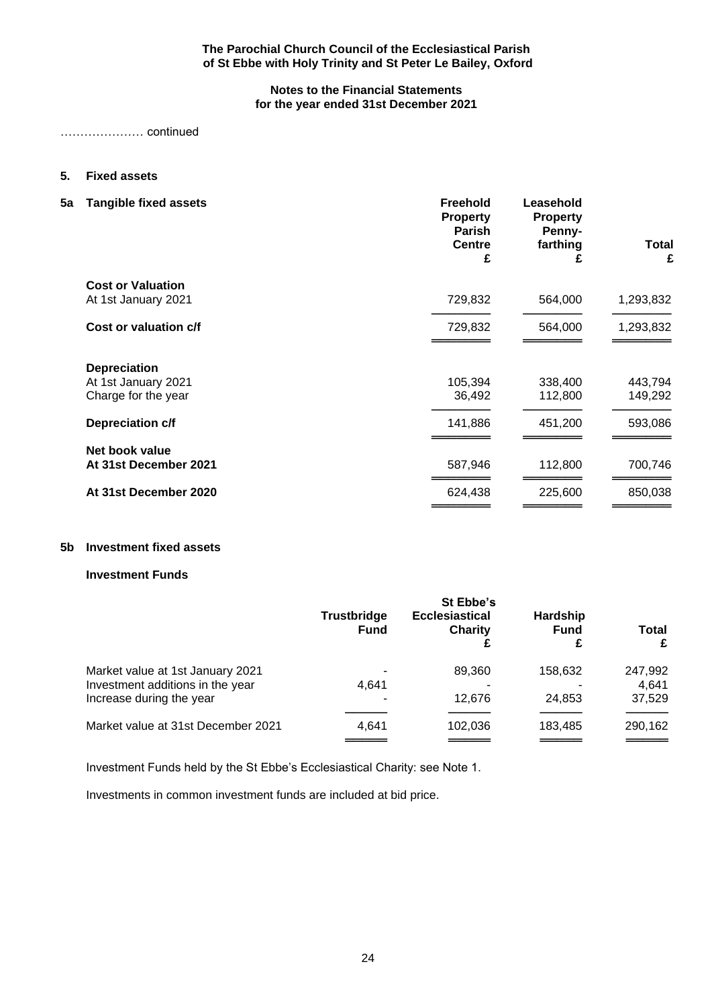# **Notes to the Financial Statements for the year ended 31st December 2021**

………………… continued

# **5. Fixed assets**

**5a Tangible fixed assets Freehold Leasehold**

| rangiwio naoa assots     | ו וטווטוע<br><b>Property</b><br><b>Parish</b><br><b>Centre</b><br>£ | Luusuiviu<br><b>Property</b><br>Penny-<br>farthing<br>£ | Total<br>£ |
|--------------------------|---------------------------------------------------------------------|---------------------------------------------------------|------------|
| <b>Cost or Valuation</b> |                                                                     |                                                         |            |
| At 1st January 2021      | 729,832                                                             | 564,000                                                 | 1,293,832  |
| Cost or valuation c/f    | 729,832                                                             | 564,000                                                 | 1,293,832  |
| <b>Depreciation</b>      |                                                                     |                                                         |            |
| At 1st January 2021      | 105,394                                                             | 338,400                                                 | 443,794    |
| Charge for the year      | 36,492                                                              | 112,800                                                 | 149,292    |
| Depreciation c/f         | 141,886                                                             | 451,200                                                 | 593,086    |
| Net book value           |                                                                     |                                                         |            |
| At 31st December 2021    | 587,946                                                             | 112,800                                                 | 700,746    |
| At 31st December 2020    | 624,438                                                             | 225,600                                                 | 850,038    |
|                          |                                                                     |                                                         |            |

# **5b Investment fixed assets**

# **Investment Funds**

|                                    | St Ebbe's                         |                                  |                                     |            |  |  |
|------------------------------------|-----------------------------------|----------------------------------|-------------------------------------|------------|--|--|
|                                    | <b>Trustbridge</b><br><b>Fund</b> | <b>Ecclesiastical</b><br>Charity | <b>Hardship</b><br><b>Fund</b><br>£ | Total<br>£ |  |  |
| Market value at 1st January 2021   |                                   | 89.360                           | 158,632                             | 247,992    |  |  |
| Investment additions in the year   | 4.641                             |                                  |                                     | 4,641      |  |  |
| Increase during the year           |                                   | 12.676                           | 24.853                              | 37,529     |  |  |
|                                    |                                   |                                  |                                     |            |  |  |
| Market value at 31st December 2021 | 4.641                             | 102,036                          | 183,485                             | 290,162    |  |  |
|                                    |                                   |                                  |                                     |            |  |  |

Investment Funds held by the St Ebbe's Ecclesiastical Charity: see Note 1.

Investments in common investment funds are included at bid price.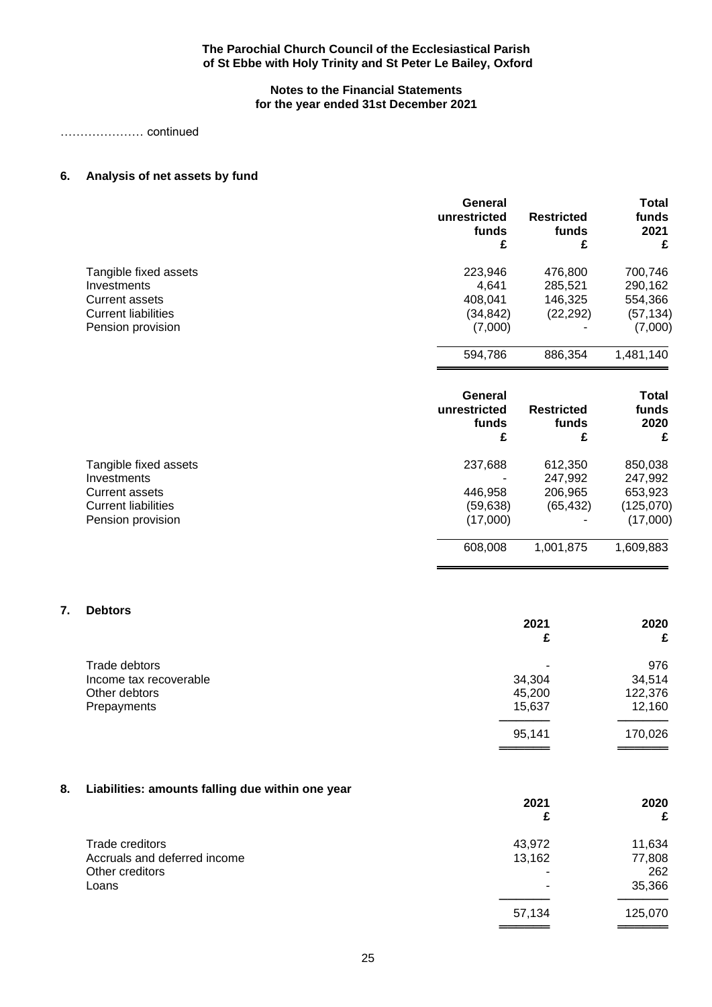# **Notes to the Financial Statements for the year ended 31st December 2021**

………………… continued

# **6. Analysis of net assets by fund**

|                                      | General<br>unrestricted<br>funds<br>£ | <b>Restricted</b><br>funds<br>£ | <b>Total</b><br>funds<br>2021<br>£ |
|--------------------------------------|---------------------------------------|---------------------------------|------------------------------------|
| Tangible fixed assets                | 223,946                               | 476,800                         | 700,746                            |
| Investments<br><b>Current assets</b> | 4,641<br>408,041                      | 285,521<br>146,325              | 290,162<br>554,366                 |
| <b>Current liabilities</b>           | (34, 842)                             | (22, 292)                       | (57, 134)                          |
| Pension provision                    | (7,000)                               |                                 | (7,000)                            |
|                                      | 594,786                               | 886,354                         | 1,481,140                          |
|                                      | General<br>unrestricted               | <b>Restricted</b>               | <b>Total</b><br>funds              |
|                                      | funds                                 | funds                           | 2020                               |
|                                      | £                                     | £                               | £                                  |
| Tangible fixed assets                | 237,688                               | 612,350                         | 850,038                            |
| Investments                          |                                       | 247,992                         | 247,992                            |
| <b>Current assets</b>                | 446,958                               | 206,965                         | 653,923                            |
| <b>Current liabilities</b>           | (59, 638)                             | (65, 432)                       | (125,070)                          |
| Pension provision                    | (17,000)                              |                                 | (17,000)                           |
|                                      | 608,008                               | 1,001,875                       | 1,609,883                          |

# **7. Debtors**

|                        | 2021<br>£ | 2020<br>£ |
|------------------------|-----------|-----------|
| Trade debtors          | ۰         | 976       |
| Income tax recoverable | 34,304    | 34,514    |
| Other debtors          | 45,200    | 122,376   |
| Prepayments            | 15,637    | 12,160    |
|                        | 95,141    | 170,026   |

══════════<br>═══════════

# **8. Liabilities: amounts falling due within one year**

|                              | 2021<br>£ | 2020<br>£ |
|------------------------------|-----------|-----------|
| Trade creditors              | 43,972    | 11,634    |
| Accruals and deferred income | 13,162    | 77,808    |
| Other creditors              |           | 262       |
| Loans                        |           | 35,366    |
|                              | 57,134    | 125,070   |
|                              |           |           |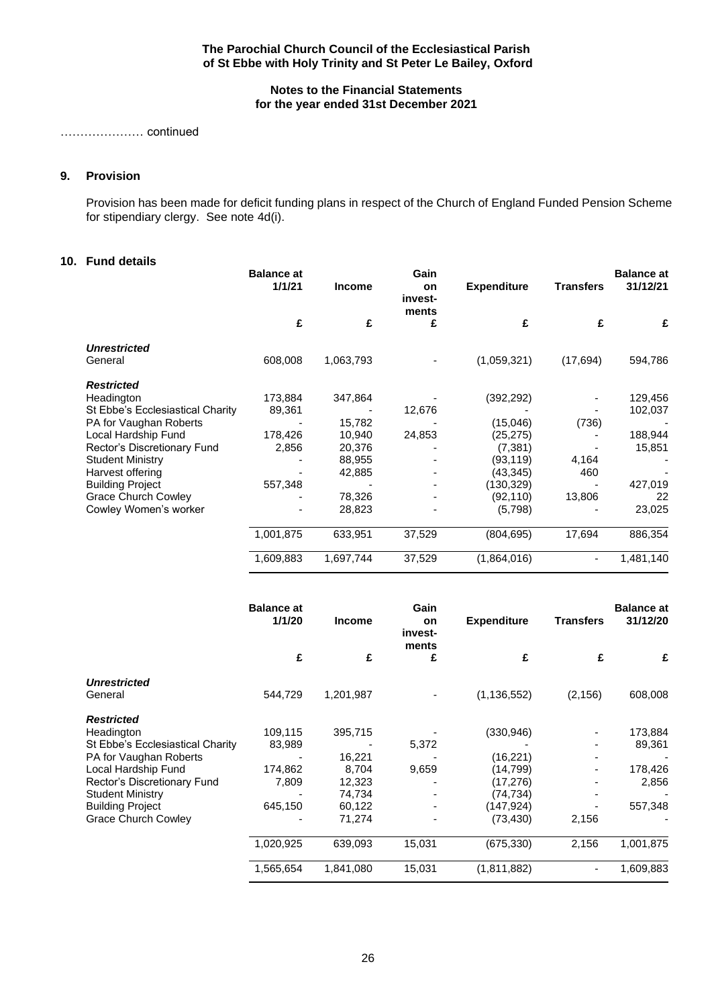# **Notes to the Financial Statements for the year ended 31st December 2021**

………………… continued

# **9. Provision**

Provision has been made for deficit funding plans in respect of the Church of England Funded Pension Scheme for stipendiary clergy. See note 4d(i).

# **10. Fund details**

|                                  | <b>Balance at</b><br>1/1/21 | <b>Income</b> | Gain<br>on<br>invest-<br>ments | <b>Expenditure</b> | <b>Transfers</b> | <b>Balance at</b><br>31/12/21 |
|----------------------------------|-----------------------------|---------------|--------------------------------|--------------------|------------------|-------------------------------|
|                                  | £                           | £             | £                              | £                  | £                | £                             |
| <b>Unrestricted</b>              |                             |               |                                |                    |                  |                               |
| General                          | 608,008                     | 1,063,793     |                                | (1,059,321)        | (17, 694)        | 594,786                       |
| <b>Restricted</b>                |                             |               |                                |                    |                  |                               |
| Headington                       | 173,884                     | 347,864       |                                | (392, 292)         |                  | 129,456                       |
| St Ebbe's Ecclesiastical Charity | 89,361                      |               | 12,676                         |                    |                  | 102,037                       |
| PA for Vaughan Roberts           |                             | 15,782        |                                | (15,046)           | (736)            |                               |
| Local Hardship Fund              | 178,426                     | 10,940        | 24,853                         | (25, 275)          |                  | 188,944                       |
| Rector's Discretionary Fund      | 2,856                       | 20,376        |                                | (7, 381)           |                  | 15,851                        |
| <b>Student Ministry</b>          |                             | 88,955        |                                | (93,119)           | 4,164            |                               |
| Harvest offering                 |                             | 42,885        |                                | (43,345)           | 460              |                               |
| <b>Building Project</b>          | 557,348                     |               |                                | (130, 329)         |                  | 427,019                       |
| <b>Grace Church Cowley</b>       |                             | 78,326        |                                | (92,110)           | 13,806           | 22                            |
| Cowley Women's worker            |                             | 28,823        |                                | (5,798)            |                  | 23,025                        |
|                                  | 1,001,875                   | 633,951       | 37,529                         | (804, 695)         | 17,694           | 886,354                       |
|                                  | 1,609,883                   | 1,697,744     | 37,529                         | (1,864,016)        |                  | 1,481,140                     |

|                                  | <b>Balance at</b><br>1/1/20 | <b>Income</b> | Gain<br>on<br>invest-<br>ments | <b>Expenditure</b> | Transfers | <b>Balance at</b><br>31/12/20 |
|----------------------------------|-----------------------------|---------------|--------------------------------|--------------------|-----------|-------------------------------|
|                                  | £                           | £             | £                              | £                  | £         | £                             |
| <b>Unrestricted</b>              |                             |               |                                |                    |           |                               |
| General                          | 544,729                     | 1,201,987     |                                | (1, 136, 552)      | (2, 156)  | 608,008                       |
| <b>Restricted</b>                |                             |               |                                |                    |           |                               |
| Headington                       | 109,115                     | 395,715       |                                | (330, 946)         |           | 173,884                       |
| St Ebbe's Ecclesiastical Charity | 83,989                      |               | 5,372                          |                    |           | 89,361                        |
| PA for Vaughan Roberts           |                             | 16,221        |                                | (16, 221)          |           |                               |
| Local Hardship Fund              | 174,862                     | 8,704         | 9,659                          | (14, 799)          |           | 178,426                       |
| Rector's Discretionary Fund      | 7,809                       | 12,323        |                                | (17,276)           |           | 2,856                         |
| <b>Student Ministry</b>          |                             | 74,734        |                                | (74, 734)          |           |                               |
| <b>Building Project</b>          | 645,150                     | 60,122        |                                | (147, 924)         |           | 557,348                       |
| <b>Grace Church Cowley</b>       |                             | 71,274        |                                | (73, 430)          | 2,156     |                               |
|                                  | 1,020,925                   | 639,093       | 15,031                         | (675, 330)         | 2,156     | 1,001,875                     |
|                                  | 1,565,654                   | 1,841,080     | 15,031                         | (1,811,882)        |           | 1,609,883                     |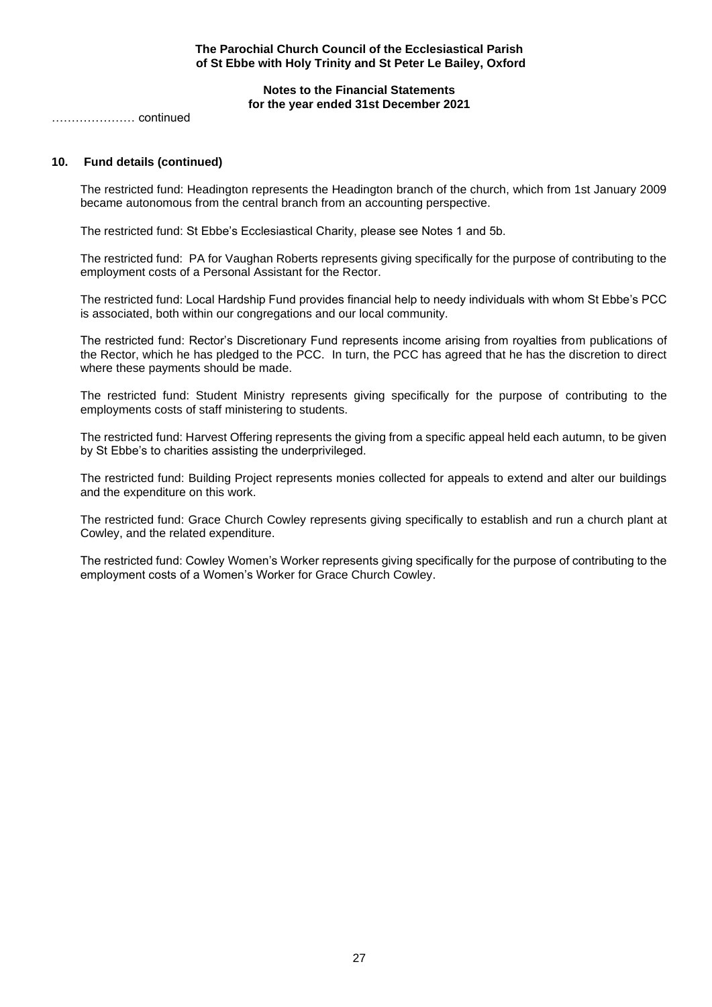**Notes to the Financial Statements for the year ended 31st December 2021**

………………… continued

# **10. Fund details (continued)**

The restricted fund: Headington represents the Headington branch of the church, which from 1st January 2009 became autonomous from the central branch from an accounting perspective.

The restricted fund: St Ebbe's Ecclesiastical Charity, please see Notes 1 and 5b.

The restricted fund: PA for Vaughan Roberts represents giving specifically for the purpose of contributing to the employment costs of a Personal Assistant for the Rector.

The restricted fund: Local Hardship Fund provides financial help to needy individuals with whom St Ebbe's PCC is associated, both within our congregations and our local community.

The restricted fund: Rector's Discretionary Fund represents income arising from royalties from publications of the Rector, which he has pledged to the PCC. In turn, the PCC has agreed that he has the discretion to direct where these payments should be made.

The restricted fund: Student Ministry represents giving specifically for the purpose of contributing to the employments costs of staff ministering to students.

The restricted fund: Harvest Offering represents the giving from a specific appeal held each autumn, to be given by St Ebbe's to charities assisting the underprivileged.

The restricted fund: Building Project represents monies collected for appeals to extend and alter our buildings and the expenditure on this work.

The restricted fund: Grace Church Cowley represents giving specifically to establish and run a church plant at Cowley, and the related expenditure.

The restricted fund: Cowley Women's Worker represents giving specifically for the purpose of contributing to the employment costs of a Women's Worker for Grace Church Cowley.